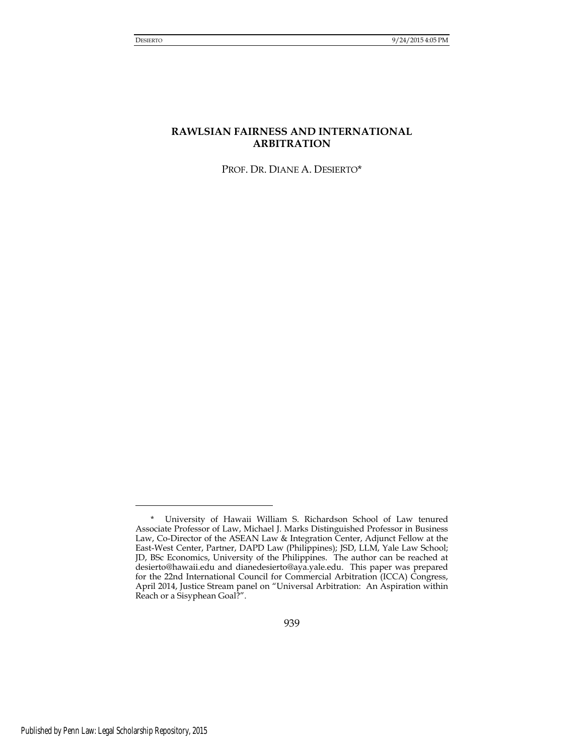# **RAWLSIAN FAIRNESS AND INTERNATIONAL ARBITRATION**

PROF. DR. DIANE A. DESIERTO\*

<sup>\*</sup> University of Hawaii William S. Richardson School of Law tenured Associate Professor of Law, Michael J. Marks Distinguished Professor in Business Law, Co-Director of the ASEAN Law & Integration Center, Adjunct Fellow at the East-West Center, Partner, DAPD Law (Philippines); JSD, LLM, Yale Law School; JD, BSc Economics, University of the Philippines. The author can be reached at [desierto@hawaii.edu](mailto:desierto@hawaii.edu) and [dianedesierto@aya.yale.edu.](mailto:dianedesierto@aya.yale.edu) This paper was prepared for the 22nd International Council for Commercial Arbitration (ICCA) Congress, April 2014, Justice Stream panel on "Universal Arbitration: An Aspiration within Reach or a Sisyphean Goal?".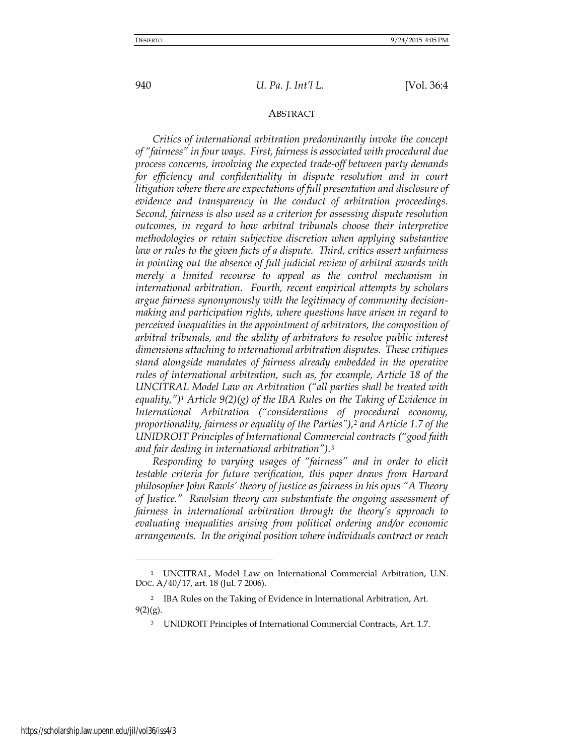### ABSTRACT

*Critics of international arbitration predominantly invoke the concept of "fairness" in four ways. First, fairness is associated with procedural due process concerns, involving the expected trade-off between party demands for efficiency and confidentiality in dispute resolution and in court litigation where there are expectations of full presentation and disclosure of evidence and transparency in the conduct of arbitration proceedings. Second, fairness is also used as a criterion for assessing dispute resolution outcomes, in regard to how arbitral tribunals choose their interpretive methodologies or retain subjective discretion when applying substantive law or rules to the given facts of a dispute. Third, critics assert unfairness in pointing out the absence of full judicial review of arbitral awards with merely a limited recourse to appeal as the control mechanism in international arbitration. Fourth, recent empirical attempts by scholars argue fairness synonymously with the legitimacy of community decisionmaking and participation rights, where questions have arisen in regard to perceived inequalities in the appointment of arbitrators, the composition of arbitral tribunals, and the ability of arbitrators to resolve public interest dimensions attaching to international arbitration disputes. These critiques stand alongside mandates of fairness already embedded in the operative rules of international arbitration, such as, for example, Article 18 of the UNCITRAL Model Law on Arbitration ("all parties shall be treated with equality,")1 Article 9(2)(g) of the IBA Rules on the Taking of Evidence in International Arbitration ("considerations of procedural economy, proportionality, fairness or equality of the Parties"),2 and Article 1.7 of the UNIDROIT Principles of International Commercial contracts ("good faith and fair dealing in international arbitration").<sup>3</sup>*

*Responding to varying usages of "fairness" and in order to elicit testable criteria for future verification, this paper draws from Harvard philosopher John Rawls' theory of justice as fairness in his opus "A Theory of Justice." Rawlsian theory can substantiate the ongoing assessment of fairness in international arbitration through the theory's approach to evaluating inequalities arising from political ordering and/or economic arrangements. In the original position where individuals contract or reach* 

<sup>1</sup> UNCITRAL, Model Law on International Commercial Arbitration, U.N. DOC. A/40/17, art. 18 (Jul. 7 2006).

<sup>2</sup> IBA Rules on the Taking of Evidence in International Arbitration, Art. 9(2)(g).

<sup>3</sup> UNIDROIT Principles of International Commercial Contracts, Art. 1.7.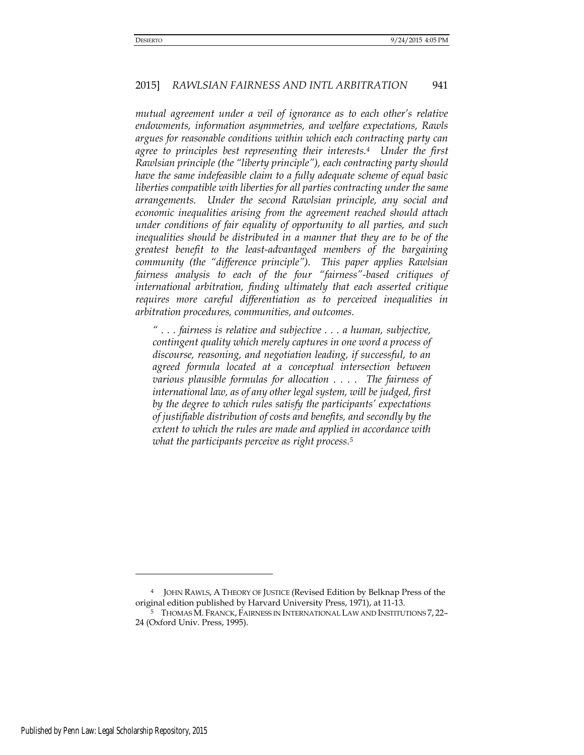*mutual agreement under a veil of ignorance as to each other's relative endowments, information asymmetries, and welfare expectations, Rawls argues for reasonable conditions within which each contracting party can agree to principles best representing their interests.4 Under the first Rawlsian principle (the "liberty principle"), each contracting party should have the same indefeasible claim to a fully adequate scheme of equal basic liberties compatible with liberties for all parties contracting under the same arrangements. Under the second Rawlsian principle, any social and economic inequalities arising from the agreement reached should attach under conditions of fair equality of opportunity to all parties, and such inequalities should be distributed in a manner that they are to be of the greatest benefit to the least-advantaged members of the bargaining community (the "difference principle"). This paper applies Rawlsian fairness analysis to each of the four "fairness"-based critiques of international arbitration, finding ultimately that each asserted critique requires more careful differentiation as to perceived inequalities in arbitration procedures, communities, and outcomes.* 

*" . . . fairness is relative and subjective . . . a human, subjective, contingent quality which merely captures in one word a process of discourse, reasoning, and negotiation leading, if successful, to an agreed formula located at a conceptual intersection between various plausible formulas for allocation . . . . The fairness of international law, as of any other legal system, will be judged, first by the degree to which rules satisfy the participants' expectations of justifiable distribution of costs and benefits, and secondly by the extent to which the rules are made and applied in accordance with what the participants perceive as right process.<sup>5</sup>*

<sup>4</sup> JOHN RAWLS, A THEORY OF JUSTICE (Revised Edition by Belknap Press of the original edition published by Harvard University Press, 1971), at 11-13.

<sup>5</sup> THOMAS M. FRANCK, FAIRNESS IN INTERNATIONAL LAW AND INSTITUTIONS 7, 22– 24 (Oxford Univ. Press, 1995).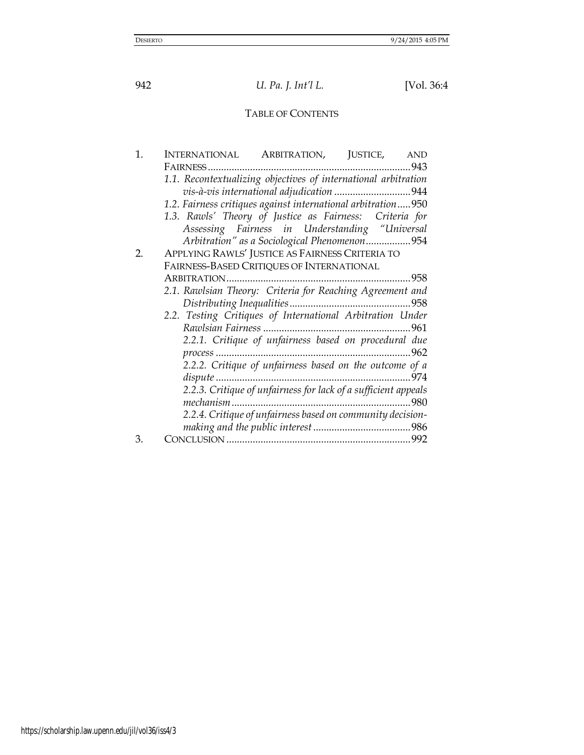# TABLE OF CONTENTS

| 1. | INTERNATIONAL ARBITRATION, JUSTICE, AND                        |
|----|----------------------------------------------------------------|
|    |                                                                |
|    | 1.1. Recontextualizing objectives of international arbitration |
|    | vis-à-vis international adjudication 944                       |
|    | 1.2. Fairness critiques against international arbitration950   |
|    | 1.3. Rawls' Theory of Justice as Fairness: Criteria for        |
|    | Assessing Fairness in Understanding "Universal                 |
|    | Arbitration" as a Sociological Phenomenon954                   |
| 2. | APPLYING RAWLS' JUSTICE AS FAIRNESS CRITERIA TO                |
|    | FAIRNESS-BASED CRITIQUES OF INTERNATIONAL                      |
|    |                                                                |
|    | 2.1. Rawlsian Theory: Criteria for Reaching Agreement and      |
|    |                                                                |
|    | 2.2. Testing Critiques of International Arbitration Under      |
|    |                                                                |
|    | 2.2.1. Critique of unfairness based on procedural due          |
|    | process                                                        |
|    | 2.2.2. Critique of unfairness based on the outcome of a        |
|    |                                                                |
|    | 2.2.3. Critique of unfairness for lack of a sufficient appeals |
|    |                                                                |
|    | 2.2.4. Critique of unfairness based on community decision-     |
|    |                                                                |
| 3. |                                                                |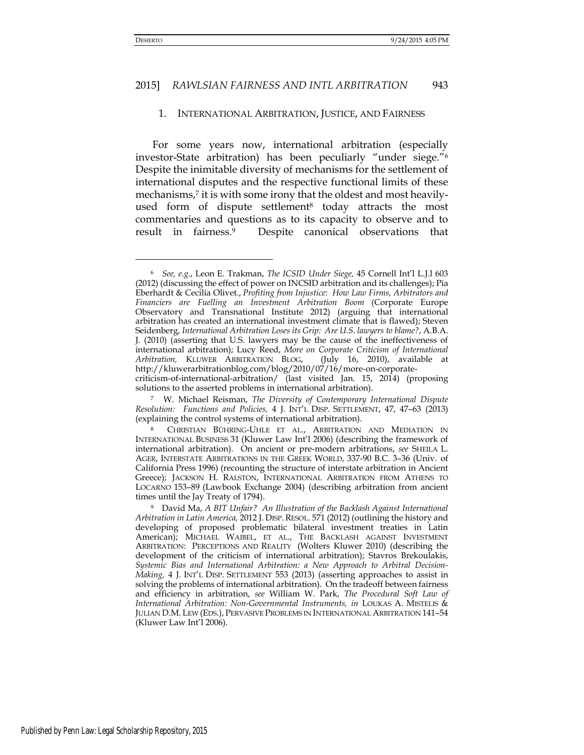#### 1. INTERNATIONAL ARBITRATION, JUSTICE, AND FAIRNESS

For some years now, international arbitration (especially investor-State arbitration) has been peculiarly "under siege."<sup>6</sup> Despite the inimitable diversity of mechanisms for the settlement of international disputes and the respective functional limits of these mechanisms,<sup>7</sup> it is with some irony that the oldest and most heavilyused form of dispute settlement<sup>8</sup> today attracts the most commentaries and questions as to its capacity to observe and to result in fairness.9 Despite canonical observations that

<sup>6</sup> *See, e.g.*, Leon E. Trakman, *The ICSID Under Siege,* 45 Cornell Int'l L.J.l 603 (2012) (discussing the effect of power on INCSID arbitration and its challenges); Pia Eberhardt & Cecilia Olivet., *Profiting from Injustice: How Law Firms, Arbitrators and Financiers are Fuelling an Investment Arbitration Boom* (Corporate Europe Observatory and Transnational Institute 2012) (arguing that international arbitration has created an international investment climate that is flawed); Steven Seidenberg, *International Arbitration Loses its Grip: Are U.S. lawyers to blame?*, A.B.A. J. (2010) (asserting that U.S. lawyers may be the cause of the ineffectiveness of international arbitration); Lucy Reed, *More on Corporate Criticism of International Arbitration,* KLUWER ARBITRATION BLOG, (July 16, 2010), available at [http://kluwerarbitrationblog.com/blog/2010/07/16/more-on-corporate](http://kluwerarbitrationblog.com/blog/2010/07/16/more-on-corporate-criticism-of-international-arbitration/)[criticism-of-international-arbitration/](http://kluwerarbitrationblog.com/blog/2010/07/16/more-on-corporate-criticism-of-international-arbitration/) (last visited Jan. 15, 2014) (proposing solutions to the asserted problems in international arbitration).

<sup>7</sup> W. Michael Reisman, *The Diversity of Contemporary International Dispute Resolution: Functions and Policies,* 4 J. INT'L DISP. SETTLEMENT, 47, 47–63 (2013) (explaining the control systems of international arbitration).

<sup>8</sup> CHRISTIAN BÜHRING-UHLE ET AL., ARBITRATION AND MEDIATION IN INTERNATIONAL BUSINESS 31 (Kluwer Law Int'l 2006) (describing the framework of international arbitration). On ancient or pre-modern arbitrations, *see* SHEILA L. AGER, INTERSTATE ARBITRATIONS IN THE GREEK WORLD, 337-90 B.C. 3–36 (Univ. of California Press 1996) (recounting the structure of interstate arbitration in Ancient Greece); JACKSON H. RALSTON, INTERNATIONAL ARBITRATION FROM ATHENS TO LOCARNO 153–89 (Lawbook Exchange 2004) (describing arbitration from ancient times until the Jay Treaty of 1794).

<sup>9</sup> David Ma, *A BIT Unfair? An Illustration of the Backlash Against International Arbitration in Latin America,* 2012 J. DISP. RESOL. 571 (2012) (outlining the history and developing of proposed problematic bilateral investment treaties in Latin American); MICHAEL WAIBEL, ET AL., THE BACKLASH AGAINST INVESTMENT ARBITRATION: PERCEPTIONS AND REALITY (Wolters Kluwer 2010) (describing the development of the criticism of international arbitration); Stavros Brekoulakis, *Systemic Bias and International Arbitration: a New Approach to Arbitral Decision-Making,* 4 J. INT'L DISP. SETTLEMENT 553 (2013) (asserting approaches to assist in solving the problems of international arbitration).On the tradeoff between fairness and efficiency in arbitration, *see* William W. Park, *The Procedural Soft Law of International Arbitration: Non-Governmental Instruments, in* LOUKAS A. MISTELIS & JULIAN D.M. LEW (EDS.), PERVASIVE PROBLEMS IN INTERNATIONAL ARBITRATION 141–54 (Kluwer Law Int'l 2006).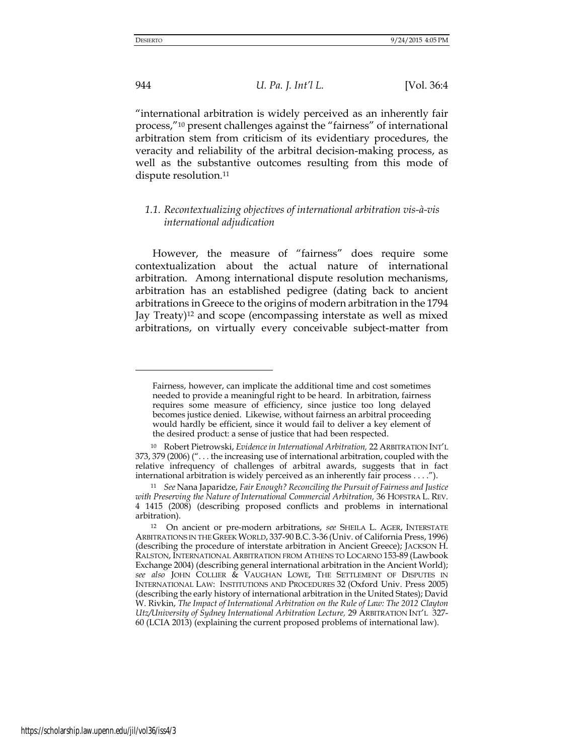944 *U. Pa. J. Int'l L.* [Vol. 36:4

"international arbitration is widely perceived as an inherently fair process,"<sup>10</sup> present challenges against the "fairness" of international arbitration stem from criticism of its evidentiary procedures, the veracity and reliability of the arbitral decision-making process, as well as the substantive outcomes resulting from this mode of dispute resolution.<sup>11</sup>

# *1.1. Recontextualizing objectives of international arbitration vis-à-vis international adjudication*

However, the measure of "fairness" does require some contextualization about the actual nature of international arbitration. Among international dispute resolution mechanisms, arbitration has an established pedigree (dating back to ancient arbitrations in Greece to the origins of modern arbitration in the 1794 Jay Treaty)12 and scope (encompassing interstate as well as mixed arbitrations, on virtually every conceivable subject-matter from

Fairness, however, can implicate the additional time and cost sometimes needed to provide a meaningful right to be heard. In arbitration, fairness requires some measure of efficiency, since justice too long delayed becomes justice denied. Likewise, without fairness an arbitral proceeding would hardly be efficient, since it would fail to deliver a key element of the desired product: a sense of justice that had been respected.

<sup>10</sup> Robert Pietrowski, *Evidence in International Arbitration,* 22 ARBITRATION INT'L 373, 379 (2006) (". . . the increasing use of international arbitration, coupled with the relative infrequency of challenges of arbitral awards, suggests that in fact international arbitration is widely perceived as an inherently fair process . . . .").

<sup>11</sup> *See* Nana Japaridze, *Fair Enough? Reconciling the Pursuit of Fairness and Justice with Preserving the Nature of International Commercial Arbitration,* 36 HOFSTRA L. REV. 4 1415 (2008) (describing proposed conflicts and problems in international arbitration).

<sup>12</sup> On ancient or pre-modern arbitrations, *see* SHEILA L. AGER, INTERSTATE ARBITRATIONS IN THE GREEK WORLD, 337-90 B.C. 3-36 (Univ. of California Press, 1996) (describing the procedure of interstate arbitration in Ancient Greece); JACKSON H. RALSTON, INTERNATIONAL ARBITRATION FROM ATHENS TO LOCARNO 153-89 (Lawbook Exchange 2004) (describing general international arbitration in the Ancient World); *see also* JOHN COLLIER & VAUGHAN LOWE, THE SETTLEMENT OF DISPUTES IN INTERNATIONAL LAW: INSTITUTIONS AND PROCEDURES 32 (Oxford Univ. Press 2005) (describing the early history of international arbitration in the United States); David W. Rivkin, *The Impact of International Arbitration on the Rule of Law: The 2012 Clayton Utz/University of Sydney International Arbitration Lecture,* 29 ARBITRATION INT'L 327- 60 (LCIA 2013) (explaining the current proposed problems of international law).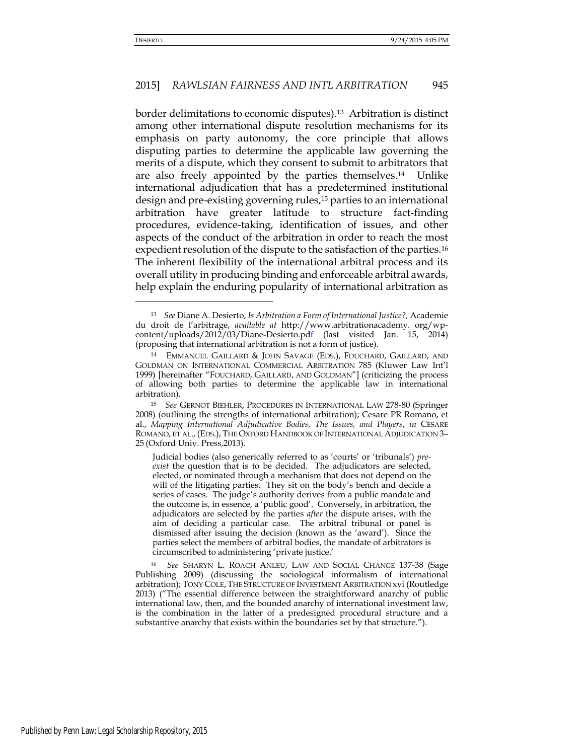#### 2015] *RAWLSIAN FAIRNESS AND INTL ARBITRATION* 945

border delimitations to economic disputes).13 Arbitration is distinct among other international dispute resolution mechanisms for its emphasis on party autonomy, the core principle that allows disputing parties to determine the applicable law governing the merits of a dispute, which they consent to submit to arbitrators that are also freely appointed by the parties themselves.14 Unlike international adjudication that has a predetermined institutional design and pre-existing governing rules,<sup>15</sup> parties to an international arbitration have greater latitude to structure fact-finding procedures, evidence-taking, identification of issues, and other aspects of the conduct of the arbitration in order to reach the most expedient resolution of the dispute to the satisfaction of the parties.<sup>16</sup> The inherent flexibility of the international arbitral process and its overall utility in producing binding and enforceable arbitral awards, help explain the enduring popularity of international arbitration as

<sup>13</sup> *See* Diane A. Desierto, *Is Arbitration a Form of International Justice?,* Academie du droit de l'arbitrage, *available at* http://www.arbitrationacademy. org/wpcontent/uploads/2012/03/Diane-Desierto.pdf (last visited Jan. 15, 2014) (proposing that international arbitration is not a form of justice).

<sup>14</sup> EMMANUEL GAILLARD & JOHN SAVAGE (EDS.), FOUCHARD, GAILLARD, AND GOLDMAN ON INTERNATIONAL COMMERCIAL ARBITRATION 785 (Kluwer Law Int'l 1999) [hereinafter "FOUCHARD, GAILLARD, AND GOLDMAN"] (criticizing the process of allowing both parties to determine the applicable law in international arbitration).

<sup>15</sup> *See* GERNOT BIEHLER, PROCEDURES IN INTERNATIONAL LAW 278-80 (Springer 2008) (outlining the strengths of international arbitration); Cesare PR Romano, et al., *Mapping International Adjudicative Bodies, The Issues, and Players*, *in* CESARE ROMANO, ET AL., (EDS.), THE OXFORD HANDBOOK OF INTERNATIONAL ADJUDICATION 3– 25 (Oxford Univ. Press,2013).

Judicial bodies (also generically referred to as 'courts' or 'tribunals') *preexist* the question that is to be decided. The adjudicators are selected, elected, or nominated through a mechanism that does not depend on the will of the litigating parties. They sit on the body's bench and decide a series of cases. The judge's authority derives from a public mandate and the outcome is, in essence, a 'public good'. Conversely, in arbitration, the adjudicators are selected by the parties *after* the dispute arises, with the aim of deciding a particular case. The arbitral tribunal or panel is dismissed after issuing the decision (known as the 'award'). Since the parties select the members of arbitral bodies, the mandate of arbitrators is circumscribed to administering 'private justice.'

<sup>16</sup> *See* SHARYN L. ROACH ANLEU, LAW AND SOCIAL CHANGE 137-38 (Sage Publishing 2009) (discussing the sociological informalism of international arbitration); TONY COLE, THE STRUCTURE OF INVESTMENT ARBITRATION xvi (Routledge 2013) ("The essential difference between the straightforward anarchy of public international law, then, and the bounded anarchy of international investment law, is the combination in the latter of a predesigned procedural structure and a substantive anarchy that exists within the boundaries set by that structure.").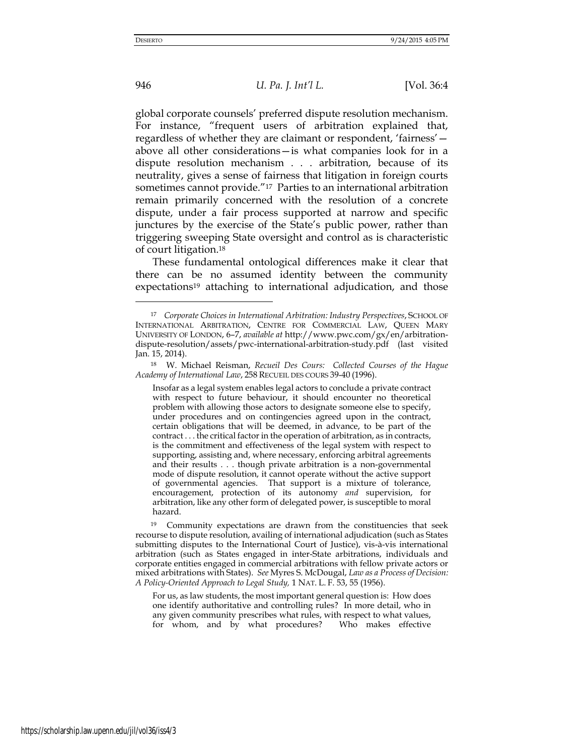global corporate counsels' preferred dispute resolution mechanism. For instance, "frequent users of arbitration explained that, regardless of whether they are claimant or respondent, 'fairness' above all other considerations—is what companies look for in a dispute resolution mechanism . . . arbitration, because of its neutrality, gives a sense of fairness that litigation in foreign courts sometimes cannot provide."17 Parties to an international arbitration remain primarily concerned with the resolution of a concrete dispute, under a fair process supported at narrow and specific junctures by the exercise of the State's public power, rather than triggering sweeping State oversight and control as is characteristic of court litigation.<sup>18</sup>

These fundamental ontological differences make it clear that there can be no assumed identity between the community expectations<sup>19</sup> attaching to international adjudication, and those

Insofar as a legal system enables legal actors to conclude a private contract with respect to future behaviour, it should encounter no theoretical problem with allowing those actors to designate someone else to specify, under procedures and on contingencies agreed upon in the contract, certain obligations that will be deemed, in advance, to be part of the contract . . . the critical factor in the operation of arbitration, as in contracts, is the commitment and effectiveness of the legal system with respect to supporting, assisting and, where necessary, enforcing arbitral agreements and their results . . . though private arbitration is a non-governmental mode of dispute resolution, it cannot operate without the active support of governmental agencies. That support is a mixture of tolerance, encouragement, protection of its autonomy *and* supervision, for arbitration, like any other form of delegated power, is susceptible to moral hazard.

For us, as law students, the most important general question is: How does one identify authoritative and controlling rules? In more detail, who in any given community prescribes what rules, with respect to what values, for whom, and by what procedures? Who makes effective

<sup>17</sup> *Corporate Choices in International Arbitration: Industry Perspectives*, SCHOOL OF INTERNATIONAL ARBITRATION, CENTRE FOR COMMERCIAL LAW, QUEEN MARY UNIVERSITY OF LONDON, 6–7, *available at* [http://www.pwc.com/gx/en/arbitration](http://www.pwc.com/gx/en/arbitration-dispute-resolution/assets/pwc-international-arbitration-study.pdf)[dispute-resolution/assets/pwc-international-arbitration-study.pdf](http://www.pwc.com/gx/en/arbitration-dispute-resolution/assets/pwc-international-arbitration-study.pdf) (last visited Jan. 15, 2014).

<sup>18</sup> W. Michael Reisman, *Recueil Des Cours: Collected Courses of the Hague Academy of International Law*, 258 RECUEIL DES COURS 39-40 (1996).

<sup>19</sup> Community expectations are drawn from the constituencies that seek recourse to dispute resolution, availing of international adjudication (such as States submitting disputes to the International Court of Justice), vis-à-vis international arbitration (such as States engaged in inter-State arbitrations, individuals and corporate entities engaged in commercial arbitrations with fellow private actors or mixed arbitrations with States). *See* Myres S. McDougal, *Law as a Process of Decision: A Policy-Oriented Approach to Legal Study,* 1 NAT. L. F. 53, 55 (1956).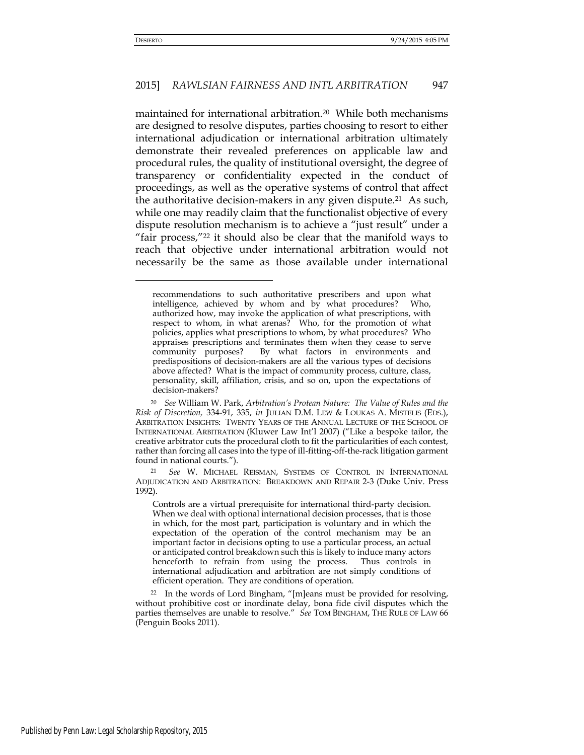### 2015] *RAWLSIAN FAIRNESS AND INTL ARBITRATION* 947

maintained for international arbitration.20 While both mechanisms are designed to resolve disputes, parties choosing to resort to either international adjudication or international arbitration ultimately demonstrate their revealed preferences on applicable law and procedural rules, the quality of institutional oversight, the degree of transparency or confidentiality expected in the conduct of proceedings, as well as the operative systems of control that affect the authoritative decision-makers in any given dispute.<sup>21</sup> As such, while one may readily claim that the functionalist objective of every dispute resolution mechanism is to achieve a "just result" under a "fair process,"22 it should also be clear that the manifold ways to reach that objective under international arbitration would not necessarily be the same as those available under international

recommendations to such authoritative prescribers and upon what intelligence, achieved by whom and by what procedures? Who, authorized how, may invoke the application of what prescriptions, with respect to whom, in what arenas? Who, for the promotion of what policies, applies what prescriptions to whom, by what procedures? Who appraises prescriptions and terminates them when they cease to serve community purposes? By what factors in environments and predispositions of decision-makers are all the various types of decisions above affected? What is the impact of community process, culture, class, personality, skill, affiliation, crisis, and so on, upon the expectations of decision-makers?

<sup>20</sup> *See* William W. Park, *Arbitration's Protean Nature: The Value of Rules and the Risk of Discretion,* 334-91, 335, *in* JULIAN D.M. LEW & LOUKAS A. MISTELIS (EDS.), ARBITRATION INSIGHTS: TWENTY YEARS OF THE ANNUAL LECTURE OF THE SCHOOL OF INTERNATIONAL ARBITRATION (Kluwer Law Int'l 2007) ("Like a bespoke tailor, the creative arbitrator cuts the procedural cloth to fit the particularities of each contest, rather than forcing all cases into the type of ill-fitting-off-the-rack litigation garment found in national courts.").

<sup>21</sup> *See* W. MICHAEL REISMAN, SYSTEMS OF CONTROL IN INTERNATIONAL ADJUDICATION AND ARBITRATION: BREAKDOWN AND REPAIR 2-3 (Duke Univ. Press 1992).

Controls are a virtual prerequisite for international third-party decision. When we deal with optional international decision processes, that is those in which, for the most part, participation is voluntary and in which the expectation of the operation of the control mechanism may be an important factor in decisions opting to use a particular process, an actual or anticipated control breakdown such this is likely to induce many actors henceforth to refrain from using the process. Thus controls in international adjudication and arbitration are not simply conditions of efficient operation. They are conditions of operation.

<sup>22</sup> In the words of Lord Bingham, "[m]eans must be provided for resolving, without prohibitive cost or inordinate delay, bona fide civil disputes which the parties themselves are unable to resolve." *See* TOM BINGHAM, THE RULE OF LAW 66 (Penguin Books 2011).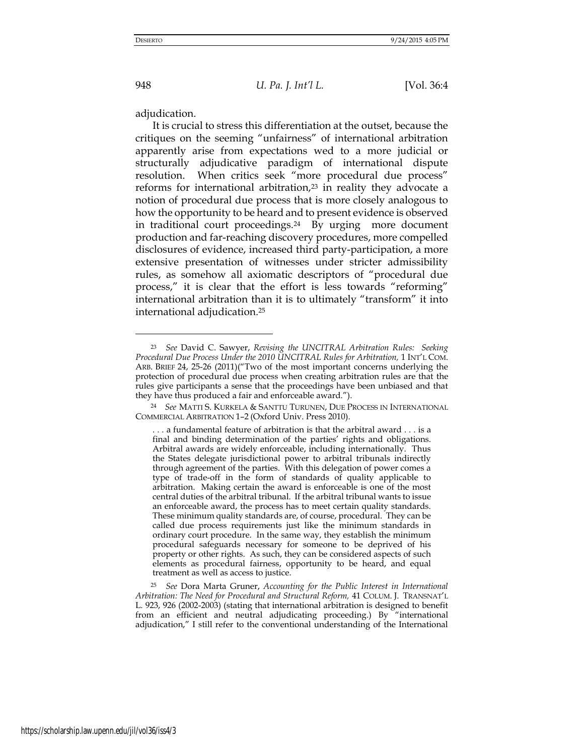adjudication.

It is crucial to stress this differentiation at the outset, because the critiques on the seeming "unfairness" of international arbitration apparently arise from expectations wed to a more judicial or structurally adjudicative paradigm of international dispute resolution. When critics seek "more procedural due process" reforms for international arbitration, $23$  in reality they advocate a notion of procedural due process that is more closely analogous to how the opportunity to be heard and to present evidence is observed in traditional court proceedings.24 By urging more document production and far-reaching discovery procedures, more compelled disclosures of evidence, increased third party-participation, a more extensive presentation of witnesses under stricter admissibility rules, as somehow all axiomatic descriptors of "procedural due process," it is clear that the effort is less towards "reforming" international arbitration than it is to ultimately "transform" it into international adjudication.<sup>25</sup>

<sup>23</sup> *See* David C. Sawyer, *Revising the UNCITRAL Arbitration Rules: Seeking Procedural Due Process Under the 2010 UNCITRAL Rules for Arbitration,* 1 INT'L COM. ARB. BRIEF 24, 25-26 (2011)("Two of the most important concerns underlying the protection of procedural due process when creating arbitration rules are that the rules give participants a sense that the proceedings have been unbiased and that they have thus produced a fair and enforceable award.").

<sup>24</sup> *See* MATTI S. KURKELA & SANTTU TURUNEN, DUE PROCESS IN INTERNATIONAL COMMERCIAL ARBITRATION 1–2 (Oxford Univ. Press 2010).

<sup>. . .</sup> a fundamental feature of arbitration is that the arbitral award . . . is a final and binding determination of the parties' rights and obligations. Arbitral awards are widely enforceable, including internationally. Thus the States delegate jurisdictional power to arbitral tribunals indirectly through agreement of the parties. With this delegation of power comes a type of trade-off in the form of standards of quality applicable to arbitration. Making certain the award is enforceable is one of the most central duties of the arbitral tribunal. If the arbitral tribunal wants to issue an enforceable award, the process has to meet certain quality standards. These minimum quality standards are, of course, procedural. They can be called due process requirements just like the minimum standards in ordinary court procedure. In the same way, they establish the minimum procedural safeguards necessary for someone to be deprived of his property or other rights. As such, they can be considered aspects of such elements as procedural fairness, opportunity to be heard, and equal treatment as well as access to justice.

<sup>25</sup> *See* Dora Marta Gruner, *Accounting for the Public Interest in International Arbitration: The Need for Procedural and Structural Reform,* 41 COLUM. J. TRANSNAT'L L. 923, 926 (2002-2003) (stating that international arbitration is designed to benefit from an efficient and neutral adjudicating proceeding.) By "international adjudication," I still refer to the conventional understanding of the International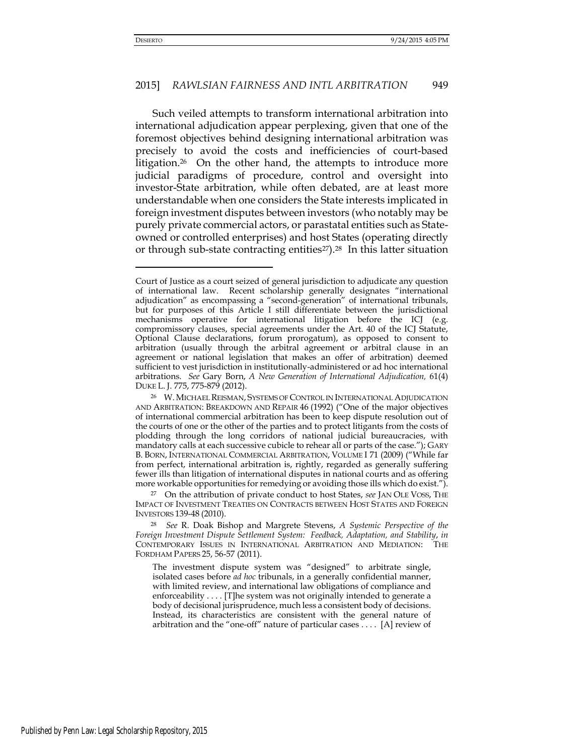#### 2015] *RAWLSIAN FAIRNESS AND INTL ARBITRATION* 949

Such veiled attempts to transform international arbitration into international adjudication appear perplexing, given that one of the foremost objectives behind designing international arbitration was precisely to avoid the costs and inefficiencies of court-based litigation.<sup>26</sup> On the other hand, the attempts to introduce more judicial paradigms of procedure, control and oversight into investor-State arbitration, while often debated, are at least more understandable when one considers the State interests implicated in foreign investment disputes between investors (who notably may be purely private commercial actors, or parastatal entities such as Stateowned or controlled enterprises) and host States (operating directly or through sub-state contracting entities<sup>27</sup>).<sup>28</sup> In this latter situation

<sup>27</sup> On the attribution of private conduct to host States, *see* JAN OLE VOSS, THE IMPACT OF INVESTMENT TREATIES ON CONTRACTS BETWEEN HOST STATES AND FOREIGN INVESTORS 139-48 (2010).

Court of Justice as a court seized of general jurisdiction to adjudicate any question of international law. Recent scholarship generally designates "international adjudication" as encompassing a "second-generation" of international tribunals, but for purposes of this Article I still differentiate between the jurisdictional mechanisms operative for international litigation before the ICJ (e.g. compromissory clauses, special agreements under the Art. 40 of the ICJ Statute, Optional Clause declarations, forum prorogatum), as opposed to consent to arbitration (usually through the arbitral agreement or arbitral clause in an agreement or national legislation that makes an offer of arbitration) deemed sufficient to vest jurisdiction in institutionally-administered or ad hoc international arbitrations. *See* Gary Born, *A New Generation of International Adjudication,* 61(4) DUKE L. J. 775, 775-879 (2012).

<sup>26</sup> W. MICHAEL REISMAN, SYSTEMS OF CONTROL IN INTERNATIONAL ADJUDICATION AND ARBITRATION: BREAKDOWN AND REPAIR 46 (1992) ("One of the major objectives of international commercial arbitration has been to keep dispute resolution out of the courts of one or the other of the parties and to protect litigants from the costs of plodding through the long corridors of national judicial bureaucracies, with mandatory calls at each successive cubicle to rehear all or parts of the case."); GARY B. BORN, INTERNATIONAL COMMERCIAL ARBITRATION, VOLUME I 71 (2009) ("While far from perfect, international arbitration is, rightly, regarded as generally suffering fewer ills than litigation of international disputes in national courts and as offering more workable opportunities for remedying or avoiding those ills which do exist.").

<sup>28</sup> *See* R. Doak Bishop and Margrete Stevens, *A Systemic Perspective of the Foreign Investment Dispute Settlement System: Feedback, Adaptation, and Stability*, *in* CONTEMPORARY ISSUES IN INTERNATIONAL ARBITRATION AND MEDIATION: THE FORDHAM PAPERS 25, 56-57 (2011).

The investment dispute system was "designed" to arbitrate single, isolated cases before *ad hoc* tribunals, in a generally confidential manner, with limited review, and international law obligations of compliance and enforceability . . . . [T]he system was not originally intended to generate a body of decisional jurisprudence, much less a consistent body of decisions. Instead, its characteristics are consistent with the general nature of arbitration and the "one-off" nature of particular cases . . . . [A] review of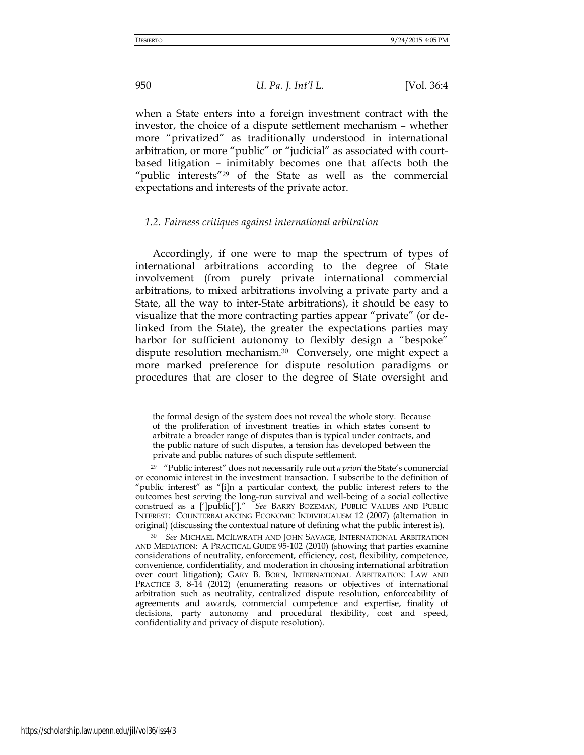-

950 *U. Pa. J. Int'l L.* [Vol. 36:4

when a State enters into a foreign investment contract with the investor, the choice of a dispute settlement mechanism – whether more "privatized" as traditionally understood in international arbitration, or more "public" or "judicial" as associated with courtbased litigation – inimitably becomes one that affects both the "public interests"29 of the State as well as the commercial expectations and interests of the private actor.

#### *1.2. Fairness critiques against international arbitration*

Accordingly, if one were to map the spectrum of types of international arbitrations according to the degree of State involvement (from purely private international commercial arbitrations, to mixed arbitrations involving a private party and a State, all the way to inter-State arbitrations), it should be easy to visualize that the more contracting parties appear "private" (or delinked from the State), the greater the expectations parties may harbor for sufficient autonomy to flexibly design a "bespoke" dispute resolution mechanism.30 Conversely, one might expect a more marked preference for dispute resolution paradigms or procedures that are closer to the degree of State oversight and

the formal design of the system does not reveal the whole story. Because of the proliferation of investment treaties in which states consent to arbitrate a broader range of disputes than is typical under contracts, and the public nature of such disputes, a tension has developed between the private and public natures of such dispute settlement.

<sup>29</sup> "Public interest" does not necessarily rule out *a priori* the State's commercial or economic interest in the investment transaction. I subscribe to the definition of "public interest" as "[i]n a particular context, the public interest refers to the outcomes best serving the long-run survival and well-being of a social collective construed as a [']public[']." *See* BARRY BOZEMAN, PUBLIC VALUES AND PUBLIC INTEREST: COUNTERBALANCING ECONOMIC INDIVIDUALISM 12 (2007) (alternation in original) (discussing the contextual nature of defining what the public interest is).

<sup>30</sup> *See* MICHAEL MCILWRATH AND JOHN SAVAGE, INTERNATIONAL ARBITRATION AND MEDIATION: A PRACTICAL GUIDE 95-102 (2010) (showing that parties examine considerations of neutrality, enforcement, efficiency, cost, flexibility, competence, convenience, confidentiality, and moderation in choosing international arbitration over court litigation); GARY B. BORN, INTERNATIONAL ARBITRATION: LAW AND PRACTICE 3, 8-14 (2012) (enumerating reasons or objectives of international arbitration such as neutrality, centralized dispute resolution, enforceability of agreements and awards, commercial competence and expertise, finality of decisions, party autonomy and procedural flexibility, cost and speed, confidentiality and privacy of dispute resolution).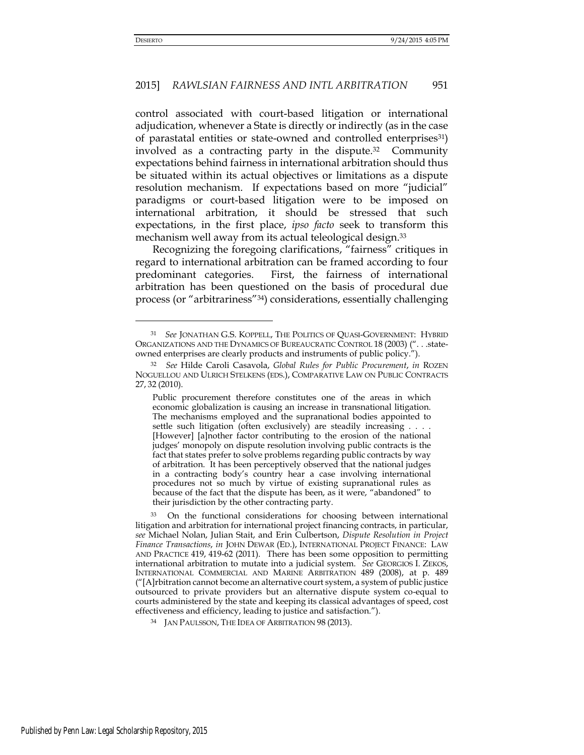# 2015] *RAWLSIAN FAIRNESS AND INTL ARBITRATION* 951

control associated with court-based litigation or international adjudication, whenever a State is directly or indirectly (as in the case of parastatal entities or state-owned and controlled enterprises<sup>31</sup>) involved as a contracting party in the dispute.32 Community expectations behind fairness in international arbitration should thus be situated within its actual objectives or limitations as a dispute resolution mechanism. If expectations based on more "judicial" paradigms or court-based litigation were to be imposed on international arbitration, it should be stressed that such expectations, in the first place, *ipso facto* seek to transform this mechanism well away from its actual teleological design.<sup>33</sup>

Recognizing the foregoing clarifications, "fairness" critiques in regard to international arbitration can be framed according to four predominant categories. First, the fairness of international arbitration has been questioned on the basis of procedural due process (or "arbitrariness"34) considerations, essentially challenging

<sup>31</sup> *See* JONATHAN G.S. KOPPELL, THE POLITICS OF QUASI-GOVERNMENT: HYBRID ORGANIZATIONS AND THE DYNAMICS OF BUREAUCRATIC CONTROL 18 (2003) (". . .stateowned enterprises are clearly products and instruments of public policy.").

<sup>32</sup> *See* Hilde Caroli Casavola, *Global Rules for Public Procurement*, *in* ROZEN NOGUELLOU AND ULRICH STELKENS (EDS.), COMPARATIVE LAW ON PUBLIC CONTRACTS 27, 32 (2010).

Public procurement therefore constitutes one of the areas in which economic globalization is causing an increase in transnational litigation. The mechanisms employed and the supranational bodies appointed to settle such litigation (often exclusively) are steadily increasing . . . . [However] [a]nother factor contributing to the erosion of the national judges' monopoly on dispute resolution involving public contracts is the fact that states prefer to solve problems regarding public contracts by way of arbitration. It has been perceptively observed that the national judges in a contracting body's country hear a case involving international procedures not so much by virtue of existing supranational rules as because of the fact that the dispute has been, as it were, "abandoned" to their jurisdiction by the other contracting party.

<sup>33</sup> On the functional considerations for choosing between international litigation and arbitration for international project financing contracts, in particular, *see* Michael Nolan, Julian Stait, and Erin Culbertson, *Dispute Resolution in Project Finance Transactions*, *in* JOHN DEWAR (ED.), INTERNATIONAL PROJECT FINANCE: LAW AND PRACTICE 419, 419-62 (2011). There has been some opposition to permitting international arbitration to mutate into a judicial system. *See* GEORGIOS I. ZEKOS, INTERNATIONAL COMMERCIAL AND MARINE ARBITRATION 489 (2008), at p. 489 ("[A]rbitration cannot become an alternative court system, a system of public justice outsourced to private providers but an alternative dispute system co-equal to courts administered by the state and keeping its classical advantages of speed, cost effectiveness and efficiency, leading to justice and satisfaction.").

<sup>34</sup> JAN PAULSSON, THE IDEA OF ARBITRATION 98 (2013).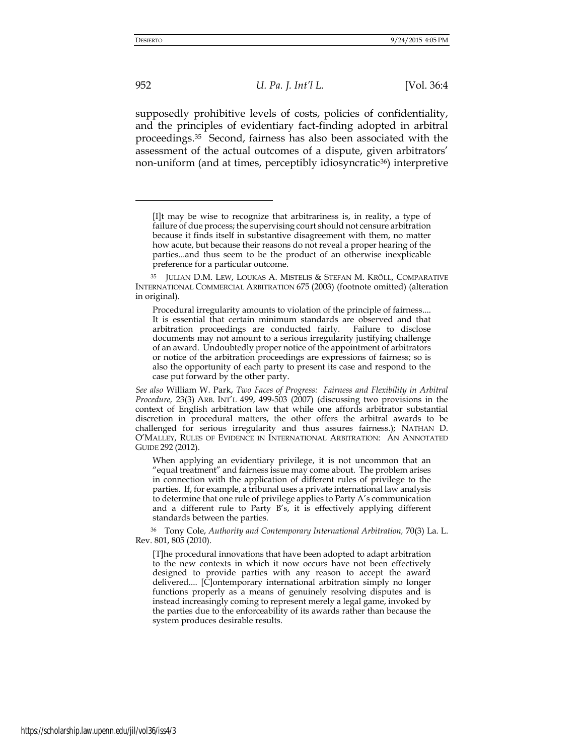952 *U. Pa. J. Int'l L.* [Vol. 36:4

supposedly prohibitive levels of costs, policies of confidentiality, and the principles of evidentiary fact-finding adopted in arbitral proceedings.35 Second, fairness has also been associated with the assessment of the actual outcomes of a dispute, given arbitrators' non-uniform (and at times, perceptibly idiosyncratic<sup>36</sup>) interpretive

<sup>[</sup>I]t may be wise to recognize that arbitrariness is, in reality, a type of failure of due process; the supervising court should not censure arbitration because it finds itself in substantive disagreement with them, no matter how acute, but because their reasons do not reveal a proper hearing of the parties...and thus seem to be the product of an otherwise inexplicable preference for a particular outcome.

<sup>35</sup> JULIAN D.M. LEW, LOUKAS A. MISTELIS & STEFAN M. KRÖLL, COMPARATIVE INTERNATIONAL COMMERCIAL ARBITRATION 675 (2003) (footnote omitted) (alteration in original).

Procedural irregularity amounts to violation of the principle of fairness.... It is essential that certain minimum standards are observed and that arbitration proceedings are conducted fairly. Failure to disclose documents may not amount to a serious irregularity justifying challenge of an award. Undoubtedly proper notice of the appointment of arbitrators or notice of the arbitration proceedings are expressions of fairness; so is also the opportunity of each party to present its case and respond to the case put forward by the other party.

*See also* William W. Park, *Two Faces of Progress: Fairness and Flexibility in Arbitral Procedure,* 23(3) ARB. INT'L 499, 499-503 (2007) (discussing two provisions in the context of English arbitration law that while one affords arbitrator substantial discretion in procedural matters, the other offers the arbitral awards to be challenged for serious irregularity and thus assures fairness.); NATHAN D. O'MALLEY, RULES OF EVIDENCE IN INTERNATIONAL ARBITRATION: AN ANNOTATED GUIDE 292 (2012).

When applying an evidentiary privilege, it is not uncommon that an "equal treatment" and fairness issue may come about. The problem arises in connection with the application of different rules of privilege to the parties. If, for example, a tribunal uses a private international law analysis to determine that one rule of privilege applies to Party A's communication and a different rule to Party B's, it is effectively applying different standards between the parties.

<sup>36</sup> Tony Cole, *Authority and Contemporary International Arbitration,* 70(3) La. L. Rev. 801, 805 (2010).

<sup>[</sup>T]he procedural innovations that have been adopted to adapt arbitration to the new contexts in which it now occurs have not been effectively designed to provide parties with any reason to accept the award delivered.... [C]ontemporary international arbitration simply no longer functions properly as a means of genuinely resolving disputes and is instead increasingly coming to represent merely a legal game, invoked by the parties due to the enforceability of its awards rather than because the system produces desirable results.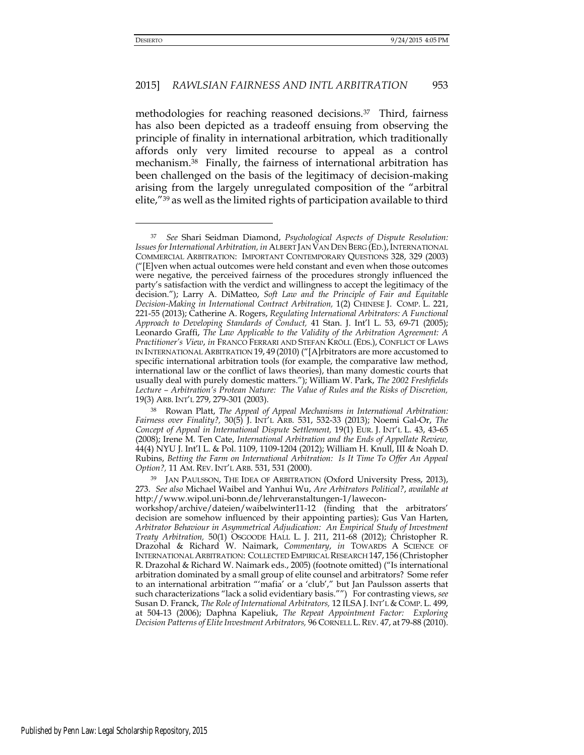#### 2015] *RAWLSIAN FAIRNESS AND INTL ARBITRATION* 953

methodologies for reaching reasoned decisions.37 Third, fairness has also been depicted as a tradeoff ensuing from observing the principle of finality in international arbitration, which traditionally affords only very limited recourse to appeal as a control mechanism.38 Finally, the fairness of international arbitration has been challenged on the basis of the legitimacy of decision-making arising from the largely unregulated composition of the "arbitral elite,"39 as well as the limited rights of participation available to third

<sup>37</sup> *See* Shari Seidman Diamond, *Psychological Aspects of Dispute Resolution: Issues for International Arbitration, in ALBERT JAN VAN DEN BERG (ED.), INTERNATIONAL* COMMERCIAL ARBITRATION: IMPORTANT CONTEMPORARY QUESTIONS 328, 329 (2003) ("[E]ven when actual outcomes were held constant and even when those outcomes were negative, the perceived fairness of the procedures strongly influenced the party's satisfaction with the verdict and willingness to accept the legitimacy of the decision."); Larry A. DiMatteo, *Soft Law and the Principle of Fair and Equitable Decision-Making in International Contract Arbitration,* 1(2) CHINESE J. COMP. L. 221, 221-55 (2013); Catherine A. Rogers, *Regulating International Arbitrators: A Functional Approach to Developing Standards of Conduct,* 41 Stan. J. Int'l L. 53, 69-71 (2005); Leonardo Graffi, *The Law Applicable to the Validity of the Arbitration Agreement: A Practitioner's View*, *in* FRANCO FERRARI AND STEFAN KRÖLL (EDS.), CONFLICT OF LAWS IN INTERNATIONAL ARBITRATION 19, 49 (2010) ("[A]rbitrators are more accustomed to specific international arbitration tools (for example, the comparative law method, international law or the conflict of laws theories), than many domestic courts that usually deal with purely domestic matters."); William W. Park, *The 2002 Freshfields Lecture – Arbitration's Protean Nature: The Value of Rules and the Risks of Discretion,*  19(3) ARB. INT'L 279, 279-301 (2003).

<sup>38</sup> Rowan Platt, *The Appeal of Appeal Mechanisms in International Arbitration: Fairness over Finality?,* 30(5) J. INT'L ARB. 531, 532-33 (2013); Noemi Gal-Or, *The Concept of Appeal in International Dispute Settlement,* 19(1) EUR. J. INT'L L. 43, 43-65 (2008); Irene M. Ten Cate, *International Arbitration and the Ends of Appellate Review,*  44(4) NYU J. Int'l L. & Pol. 1109, 1109-1204 (2012); William H. Knull, III & Noah D. Rubins, *Betting the Farm on International Arbitration: Is It Time To Offer An Appeal Option?,* 11 AM. REV. INT'L ARB. 531, 531 (2000).

<sup>&</sup>lt;sup>39</sup> JAN PAULSSON, THE IDEA OF ARBITRATION (Oxford University Press, 2013), 273. *See also* Michael Waibel and Yanhui Wu, *Are Arbitrators Political?*, *available at* http://www.wipol.uni-bonn.de/lehrveranstaltungen-1/lawecon-

workshop/archive/dateien/waibelwinter11-12 (finding that the arbitrators' decision are somehow influenced by their appointing parties); Gus Van Harten, *Arbitrator Behaviour in Asymmetrical Adjudication: An Empirical Study of Investment Treaty Arbitration,* 50(1) OSGOODE HALL L. J. 211, 211-68 (2012); Christopher R. Drazohal & Richard W. Naimark, *Commentary*, *in* TOWARDS A SCIENCE OF INTERNATIONAL ARBITRATION: COLLECTED EMPIRICAL RESEARCH 147, 156 (Christopher R. Drazohal & Richard W. Naimark eds., 2005) (footnote omitted) ("Is international arbitration dominated by a small group of elite counsel and arbitrators? Some refer to an international arbitration "'mafia' or a 'club'," but Jan Paulsson asserts that such characterizations "lack a solid evidentiary basis."") For contrasting views, *see*  Susan D. Franck, *The Role of International Arbitrators,* 12 ILSA J. INT'L & COMP. L. 499, at 504-13 (2006); Daphna Kapeliuk, *The Repeat Appointment Factor: Exploring Decision Patterns of Elite Investment Arbitrators,* 96 CORNELL L.REV. 47, at 79-88 (2010).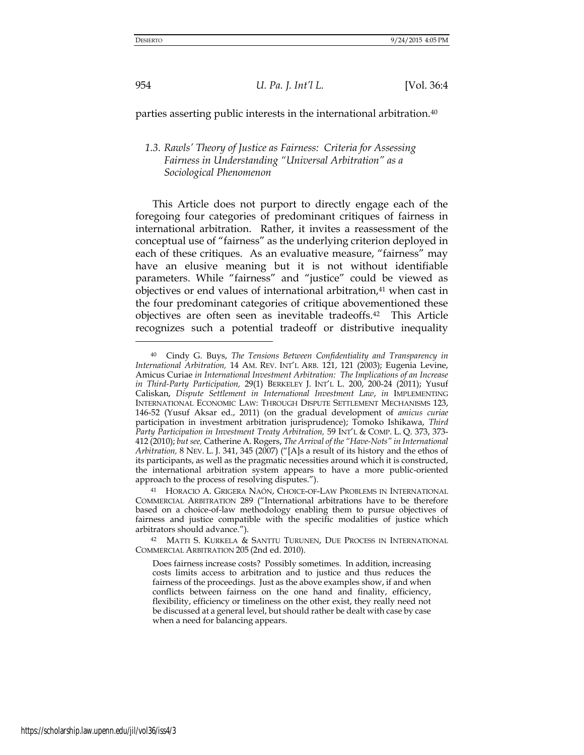954 *U. Pa. J. Int'l L.* [Vol. 36:4

parties asserting public interests in the international arbitration.<sup>40</sup>

# *1.3. Rawls' Theory of Justice as Fairness: Criteria for Assessing Fairness in Understanding "Universal Arbitration" as a Sociological Phenomenon*

This Article does not purport to directly engage each of the foregoing four categories of predominant critiques of fairness in international arbitration. Rather, it invites a reassessment of the conceptual use of "fairness" as the underlying criterion deployed in each of these critiques. As an evaluative measure, "fairness" may have an elusive meaning but it is not without identifiable parameters. While "fairness" and "justice" could be viewed as objectives or end values of international arbitration,<sup>41</sup> when cast in the four predominant categories of critique abovementioned these objectives are often seen as inevitable tradeoffs.42 This Article recognizes such a potential tradeoff or distributive inequality

<sup>40</sup> Cindy G. Buys, *The Tensions Between Confidentiality and Transparency in International Arbitration,* 14 AM. REV. INT'L ARB. 121, 121 (2003); Eugenia Levine, Amicus Curiae *in International Investment Arbitration: The Implications of an Increase in Third-Party Participation,* 29(1) BERKELEY J. INT'L L. 200, 200-24 (2011); Yusuf Caliskan, *Dispute Settlement in International Investment Law*, *in* IMPLEMENTING INTERNATIONAL ECONOMIC LAW: THROUGH DISPUTE SETTLEMENT MECHANISMS 123, 146-52 (Yusuf Aksar ed., 2011) (on the gradual development of *amicus curiae* participation in investment arbitration jurisprudence); Tomoko Ishikawa, *Third Party Participation in Investment Treaty Arbitration,* 59 INT'L & COMP. L. Q. 373, 373- 412 (2010); *but see,* Catherine A. Rogers, *The Arrival of the "Have-Nots" in International Arbitration,* 8 NEV. L. J. 341, 345 (2007) ("[A]s a result of its history and the ethos of its participants, as well as the pragmatic necessities around which it is constructed, the international arbitration system appears to have a more public-oriented approach to the process of resolving disputes.").

<sup>41</sup> HORACIO A. GRIGERA NAÓN, CHOICE-OF-LAW PROBLEMS IN INTERNATIONAL COMMERCIAL ARBITRATION 289 ("International arbitrations have to be therefore based on a choice-of-law methodology enabling them to pursue objectives of fairness and justice compatible with the specific modalities of justice which arbitrators should advance.").

<sup>42</sup> MATTI S. KURKELA & SANTTU TURUNEN, DUE PROCESS IN INTERNATIONAL COMMERCIAL ARBITRATION 205 (2nd ed. 2010).

Does fairness increase costs? Possibly sometimes. In addition, increasing costs limits access to arbitration and to justice and thus reduces the fairness of the proceedings. Just as the above examples show, if and when conflicts between fairness on the one hand and finality, efficiency, flexibility, efficiency or timeliness on the other exist, they really need not be discussed at a general level, but should rather be dealt with case by case when a need for balancing appears.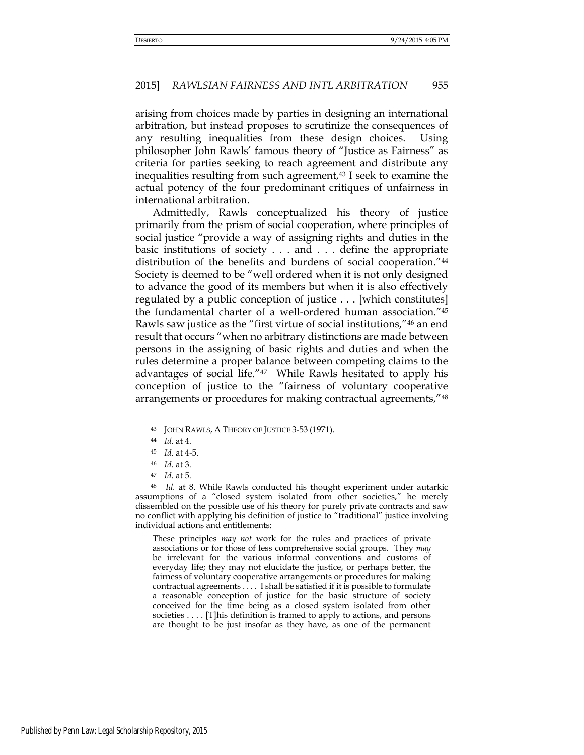arising from choices made by parties in designing an international arbitration, but instead proposes to scrutinize the consequences of any resulting inequalities from these design choices. Using philosopher John Rawls' famous theory of "Justice as Fairness" as criteria for parties seeking to reach agreement and distribute any inequalities resulting from such agreement,<sup>43</sup> I seek to examine the actual potency of the four predominant critiques of unfairness in international arbitration.

Admittedly, Rawls conceptualized his theory of justice primarily from the prism of social cooperation, where principles of social justice "provide a way of assigning rights and duties in the basic institutions of society . . . and . . . define the appropriate distribution of the benefits and burdens of social cooperation."<sup>44</sup> Society is deemed to be "well ordered when it is not only designed to advance the good of its members but when it is also effectively regulated by a public conception of justice . . . [which constitutes] the fundamental charter of a well-ordered human association."<sup>45</sup> Rawls saw justice as the "first virtue of social institutions,"46 an end result that occurs "when no arbitrary distinctions are made between persons in the assigning of basic rights and duties and when the rules determine a proper balance between competing claims to the advantages of social life."47 While Rawls hesitated to apply his conception of justice to the "fairness of voluntary cooperative arrangements or procedures for making contractual agreements,"<sup>48</sup>

<u>.</u>

These principles *may not* work for the rules and practices of private associations or for those of less comprehensive social groups. They *may*  be irrelevant for the various informal conventions and customs of everyday life; they may not elucidate the justice, or perhaps better, the fairness of voluntary cooperative arrangements or procedures for making contractual agreements . . . . I shall be satisfied if it is possible to formulate a reasonable conception of justice for the basic structure of society conceived for the time being as a closed system isolated from other societies . . . . [T]his definition is framed to apply to actions, and persons are thought to be just insofar as they have, as one of the permanent

<sup>43</sup> JOHN RAWLS, A THEORY OF JUSTICE 3-53 (1971).

<sup>44</sup> *Id.* at 4.

<sup>45</sup> *Id.* at 4-5.

<sup>46</sup> *Id.* at 3.

<sup>47</sup> *Id.* at 5.

<sup>48</sup> *Id.* at 8. While Rawls conducted his thought experiment under autarkic assumptions of a "closed system isolated from other societies," he merely dissembled on the possible use of his theory for purely private contracts and saw no conflict with applying his definition of justice to "traditional" justice involving individual actions and entitlements: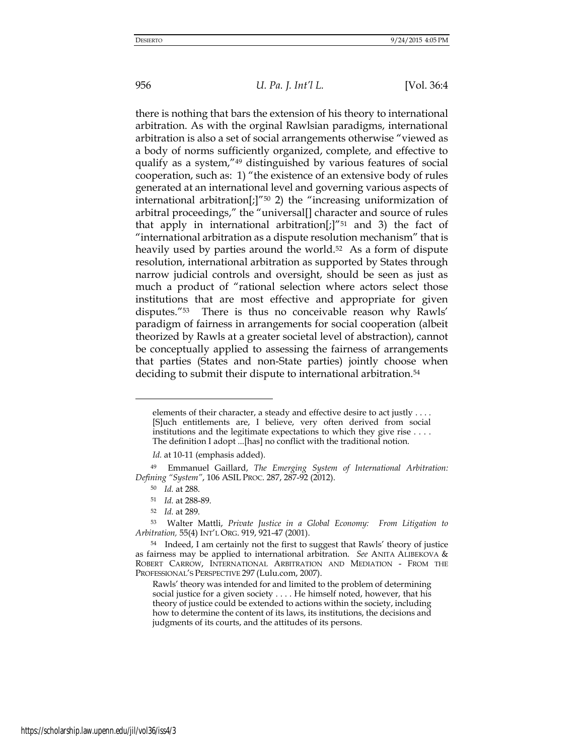there is nothing that bars the extension of his theory to international arbitration. As with the orginal Rawlsian paradigms, international arbitration is also a set of social arrangements otherwise "viewed as a body of norms sufficiently organized, complete, and effective to qualify as a system,"49 distinguished by various features of social cooperation, such as: 1) "the existence of an extensive body of rules generated at an international level and governing various aspects of international arbitration[;]"<sup>50</sup> 2) the "increasing uniformization of arbitral proceedings," the "universal[] character and source of rules that apply in international arbitration[;]" $51$  and 3) the fact of "international arbitration as a dispute resolution mechanism" that is heavily used by parties around the world.<sup>52</sup> As a form of dispute resolution, international arbitration as supported by States through narrow judicial controls and oversight, should be seen as just as much a product of "rational selection where actors select those institutions that are most effective and appropriate for given disputes."<sup>53</sup> There is thus no conceivable reason why Rawls' paradigm of fairness in arrangements for social cooperation (albeit theorized by Rawls at a greater societal level of abstraction), cannot be conceptually applied to assessing the fairness of arrangements that parties (States and non-State parties) jointly choose when deciding to submit their dispute to international arbitration.<sup>54</sup>

elements of their character, a steady and effective desire to act justly . . . . [S]uch entitlements are, I believe, very often derived from social institutions and the legitimate expectations to which they give rise . . . . The definition I adopt ...[has] no conflict with the traditional notion.

*Id.* at 10-11 (emphasis added).

<sup>49</sup> Emmanuel Gaillard, *The Emerging System of International Arbitration: Defining "System"*, 106 ASIL PROC. 287, 287-92 (2012).

<sup>50</sup> *Id.* at 288.

<sup>51</sup> *Id.* at 288-89.

<sup>52</sup> *Id.* at 289.

<sup>53</sup> Walter Mattli, *Private Justice in a Global Economy: From Litigation to Arbitration,* 55(4) INT'L ORG. 919, 921-47 (2001).

<sup>54</sup> Indeed, I am certainly not the first to suggest that Rawls' theory of justice as fairness may be applied to international arbitration. *See* ANITA ALIBEKOVA & ROBERT CARROW, INTERNATIONAL ARBITRATION AND MEDIATION - FROM THE PROFESSIONAL'S PERSPECTIVE 297 (Lulu.com, 2007).

Rawls' theory was intended for and limited to the problem of determining social justice for a given society . . . . He himself noted, however, that his theory of justice could be extended to actions within the society, including how to determine the content of its laws, its institutions, the decisions and judgments of its courts, and the attitudes of its persons.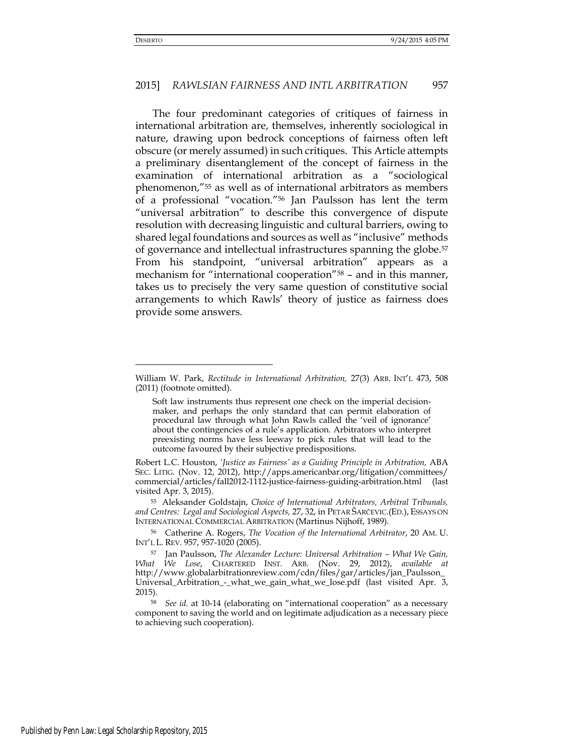#### 2015] *RAWLSIAN FAIRNESS AND INTL ARBITRATION* 957

The four predominant categories of critiques of fairness in international arbitration are, themselves, inherently sociological in nature, drawing upon bedrock conceptions of fairness often left obscure (or merely assumed) in such critiques. This Article attempts a preliminary disentanglement of the concept of fairness in the examination of international arbitration as a "sociological phenomenon,"55 as well as of international arbitrators as members of a professional "vocation."56 Jan Paulsson has lent the term "universal arbitration" to describe this convergence of dispute resolution with decreasing linguistic and cultural barriers, owing to shared legal foundations and sources as well as "inclusive" methods of governance and intellectual infrastructures spanning the globe.<sup>57</sup> From his standpoint, "universal arbitration" appears as a mechanism for "international cooperation"<sup>58</sup> – and in this manner, takes us to precisely the very same question of constitutive social arrangements to which Rawls' theory of justice as fairness does provide some answers.

William W. Park, *Rectitude in International Arbitration,* 27(3) ARB. INT'L 473, 508 (2011) (footnote omitted).

Soft law instruments thus represent one check on the imperial decisionmaker, and perhaps the only standard that can permit elaboration of procedural law through what John Rawls called the 'veil of ignorance' about the contingencies of a rule's application. Arbitrators who interpret preexisting norms have less leeway to pick rules that will lead to the outcome favoured by their subjective predispositions.

Robert L.C. Houston, *'Justice as Fairness' as a Guiding Principle in Arbitration,* ABA SEC. LITIG. (Nov. 12, 2012), [http://apps.americanbar.org/litigation/committees/](http://apps.americanbar.org/litigation/committees/%20commercial/articles/fall2012-1112-justice-fairness-guiding-arbitration.html)  [commercial/articles/fall2012-1112-justice-fairness-guiding-arbitration.html](http://apps.americanbar.org/litigation/committees/%20commercial/articles/fall2012-1112-justice-fairness-guiding-arbitration.html) (last visited Apr. 3, 2015).

<sup>55</sup> Aleksander Goldstajn, *Choice of International Arbitrators, Arbitral Tribunals, and Centres: Legal and Sociological Aspects,* 27, 32, in PETAR ŠARČEVIC.(ED.), ESSAYS ON INTERNATIONAL COMMERCIAL ARBITRATION (Martinus Nijhoff, 1989).

<sup>56</sup> Catherine A. Rogers, *The Vocation of the International Arbitrator*, 20 AM. U. INT'L L. REV. 957, 957-1020 (2005).

<sup>57</sup> Jan Paulsson, *The Alexander Lecture: Universal Arbitration – What We Gain, What We Lose*, CHARTERED INST. ARB. (Nov. 29, 2012), *available at*  http://www.globalarbitrationreview.com/cdn/files/gar/articles/jan\_Paulsson\_ Universal\_Arbitration\_-\_what\_we\_gain\_what\_we\_lose.pdf (last visited Apr. 3, 2015).

<sup>58</sup> *See id.* at 10-14 (elaborating on "international cooperation" as a necessary component to saving the world and on legitimate adjudication as a necessary piece to achieving such cooperation).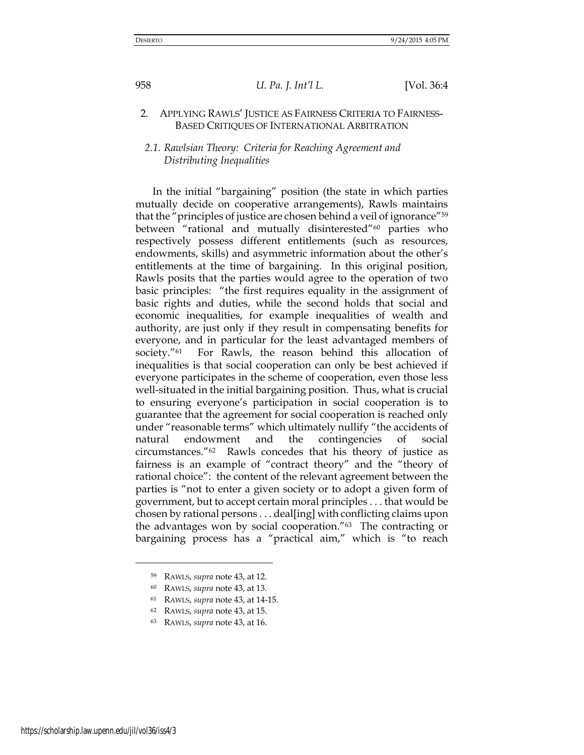# 2. APPLYING RAWLS' JUSTICE AS FAIRNESS CRITERIA TO FAIRNESS-BASED CRITIQUES OF INTERNATIONAL ARBITRATION

# *2.1. Rawlsian Theory: Criteria for Reaching Agreement and Distributing Inequalities*

In the initial "bargaining" position (the state in which parties mutually decide on cooperative arrangements), Rawls maintains that the "principles of justice are chosen behind a veil of ignorance"<sup>59</sup> between "rational and mutually disinterested"60 parties who respectively possess different entitlements (such as resources, endowments, skills) and asymmetric information about the other's entitlements at the time of bargaining. In this original position, Rawls posits that the parties would agree to the operation of two basic principles: "the first requires equality in the assignment of basic rights and duties, while the second holds that social and economic inequalities, for example inequalities of wealth and authority, are just only if they result in compensating benefits for everyone, and in particular for the least advantaged members of society."61 For Rawls, the reason behind this allocation of inequalities is that social cooperation can only be best achieved if everyone participates in the scheme of cooperation, even those less well-situated in the initial bargaining position. Thus, what is crucial to ensuring everyone's participation in social cooperation is to guarantee that the agreement for social cooperation is reached only under "reasonable terms" which ultimately nullify "the accidents of natural endowment and the contingencies of social circumstances."62 Rawls concedes that his theory of justice as fairness is an example of "contract theory" and the "theory of rational choice": the content of the relevant agreement between the parties is "not to enter a given society or to adopt a given form of government, but to accept certain moral principles . . . that would be chosen by rational persons . . . deal[ing] with conflicting claims upon the advantages won by social cooperation."63 The contracting or bargaining process has a "practical aim," which is "to reach

<sup>62</sup> RAWLS, *supra* note 43, at 15.

<sup>59</sup> RAWLS, *supra* note 43, at 12.

<sup>60</sup> RAWLS, *supra* note 43, at 13.

<sup>61</sup> RAWLS, *supra* note 43, at 14-15.

<sup>63</sup> RAWLS, *supra* note 43, at 16.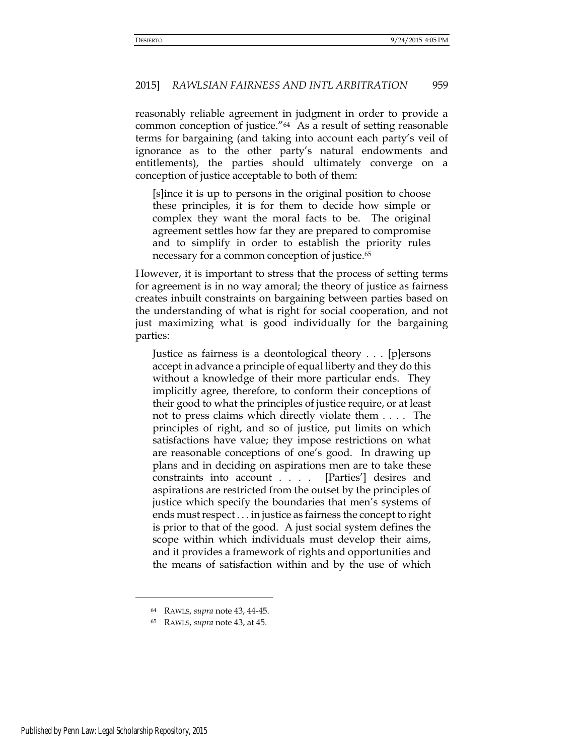reasonably reliable agreement in judgment in order to provide a common conception of justice."64 As a result of setting reasonable terms for bargaining (and taking into account each party's veil of ignorance as to the other party's natural endowments and entitlements), the parties should ultimately converge on a conception of justice acceptable to both of them:

[s]ince it is up to persons in the original position to choose these principles, it is for them to decide how simple or complex they want the moral facts to be. The original agreement settles how far they are prepared to compromise and to simplify in order to establish the priority rules necessary for a common conception of justice.<sup>65</sup>

However, it is important to stress that the process of setting terms for agreement is in no way amoral; the theory of justice as fairness creates inbuilt constraints on bargaining between parties based on the understanding of what is right for social cooperation, and not just maximizing what is good individually for the bargaining parties:

Justice as fairness is a deontological theory . . . [p]ersons accept in advance a principle of equal liberty and they do this without a knowledge of their more particular ends. They implicitly agree, therefore, to conform their conceptions of their good to what the principles of justice require, or at least not to press claims which directly violate them . . . . The principles of right, and so of justice, put limits on which satisfactions have value; they impose restrictions on what are reasonable conceptions of one's good. In drawing up plans and in deciding on aspirations men are to take these constraints into account . . . . [Parties'] desires and aspirations are restricted from the outset by the principles of justice which specify the boundaries that men's systems of ends must respect . . . in justice as fairness the concept to right is prior to that of the good. A just social system defines the scope within which individuals must develop their aims, and it provides a framework of rights and opportunities and the means of satisfaction within and by the use of which

<sup>64</sup> RAWLS, *supra* note 43, 44-45.

<sup>65</sup> RAWLS, *supra* note 43, at 45.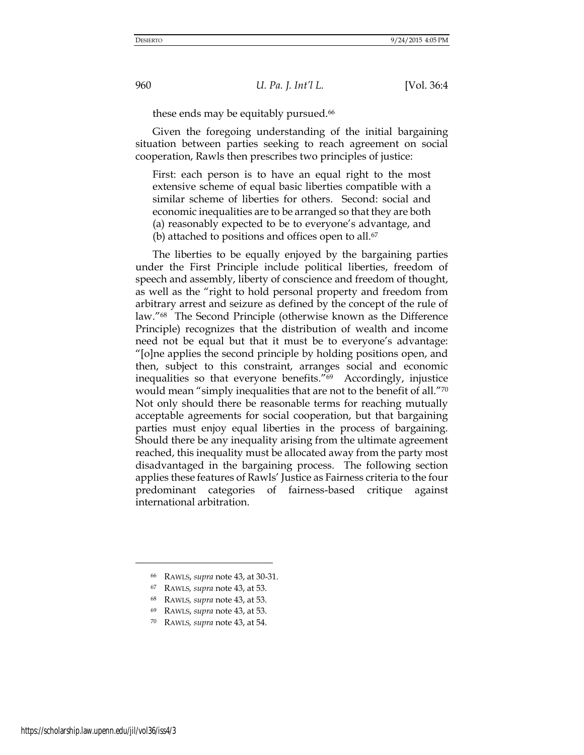these ends may be equitably pursued.<sup>66</sup>

Given the foregoing understanding of the initial bargaining situation between parties seeking to reach agreement on social cooperation, Rawls then prescribes two principles of justice:

First: each person is to have an equal right to the most extensive scheme of equal basic liberties compatible with a similar scheme of liberties for others. Second: social and economic inequalities are to be arranged so that they are both (a) reasonably expected to be to everyone's advantage, and (b) attached to positions and offices open to all.<sup>67</sup>

The liberties to be equally enjoyed by the bargaining parties under the First Principle include political liberties, freedom of speech and assembly, liberty of conscience and freedom of thought, as well as the "right to hold personal property and freedom from arbitrary arrest and seizure as defined by the concept of the rule of law."68 The Second Principle (otherwise known as the Difference Principle) recognizes that the distribution of wealth and income need not be equal but that it must be to everyone's advantage: "[o]ne applies the second principle by holding positions open, and then, subject to this constraint, arranges social and economic inequalities so that everyone benefits."69 Accordingly, injustice would mean "simply inequalities that are not to the benefit of all."<sup>70</sup> Not only should there be reasonable terms for reaching mutually acceptable agreements for social cooperation, but that bargaining parties must enjoy equal liberties in the process of bargaining. Should there be any inequality arising from the ultimate agreement reached, this inequality must be allocated away from the party most disadvantaged in the bargaining process. The following section applies these features of Rawls' Justice as Fairness criteria to the four predominant categories of fairness-based critique against international arbitration.

- <sup>68</sup> RAWLS*, supra* note 43, at 53.
- <sup>69</sup> RAWLS, *supra* note 43, at 53.
- <sup>70</sup> RAWLS*, supra* note 43, at 54.

<sup>66</sup> RAWLS, *supra* note 43, at 30-31.

<sup>67</sup> RAWLS*, supra* note 43, at 53.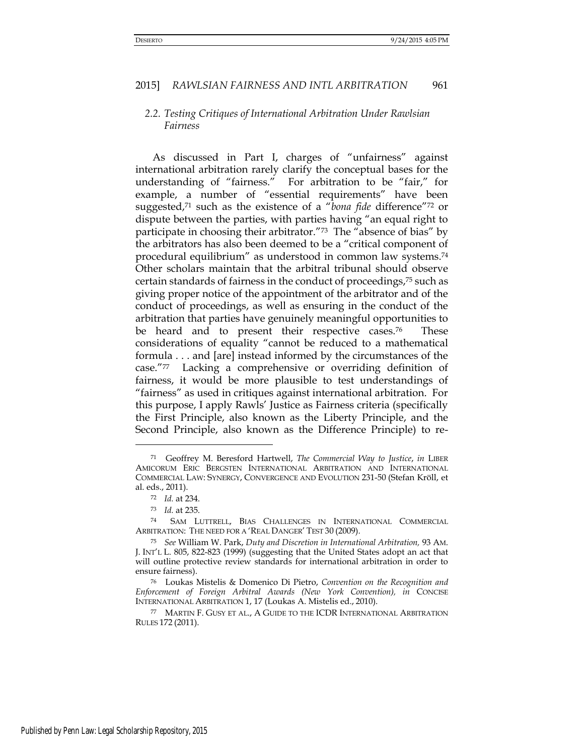# *2.2. Testing Critiques of International Arbitration Under Rawlsian Fairness*

As discussed in Part I, charges of "unfairness" against international arbitration rarely clarify the conceptual bases for the understanding of "fairness." For arbitration to be "fair," for example, a number of "essential requirements" have been suggested,<sup>71</sup> such as the existence of a "*bona fide* difference"72 or dispute between the parties, with parties having "an equal right to participate in choosing their arbitrator."<sup>73</sup> The "absence of bias" by the arbitrators has also been deemed to be a "critical component of procedural equilibrium" as understood in common law systems.<sup>74</sup> Other scholars maintain that the arbitral tribunal should observe certain standards of fairness in the conduct of proceedings,75 such as giving proper notice of the appointment of the arbitrator and of the conduct of proceedings, as well as ensuring in the conduct of the arbitration that parties have genuinely meaningful opportunities to be heard and to present their respective cases.<sup>76</sup> These considerations of equality "cannot be reduced to a mathematical formula . . . and [are] instead informed by the circumstances of the case."77 Lacking a comprehensive or overriding definition of fairness, it would be more plausible to test understandings of "fairness" as used in critiques against international arbitration. For this purpose, I apply Rawls' Justice as Fairness criteria (specifically the First Principle, also known as the Liberty Principle, and the Second Principle, also known as the Difference Principle) to re-

<sup>71</sup> Geoffrey M. Beresford Hartwell, *The Commercial Way to Justice*, *in* LIBER AMICORUM ERIC BERGSTEN INTERNATIONAL ARBITRATION AND INTERNATIONAL COMMERCIAL LAW: SYNERGY, CONVERGENCE AND EVOLUTION 231-50 (Stefan Kröll, et al. eds., 2011).

<sup>72</sup> *Id.* at 234.

<sup>73</sup> *Id.* at 235.

<sup>74</sup> SAM LUTTRELL, BIAS CHALLENGES IN INTERNATIONAL COMMERCIAL ARBITRATION: THE NEED FOR A 'REAL DANGER' TEST 30 (2009).

<sup>75</sup> *See* William W. Park, *Duty and Discretion in International Arbitration,* 93 AM. J. INT'L L. 805, 822-823 (1999) (suggesting that the United States adopt an act that will outline protective review standards for international arbitration in order to ensure fairness).

<sup>76</sup> Loukas Mistelis & Domenico Di Pietro, *Convention on the Recognition and Enforcement of Foreign Arbitral Awards (New York Convention), in* CONCISE INTERNATIONAL ARBITRATION 1, 17 (Loukas A. Mistelis ed., 2010).

<sup>77</sup> MARTIN F. GUSY ET AL., A GUIDE TO THE ICDR INTERNATIONAL ARBITRATION RULES 172 (2011).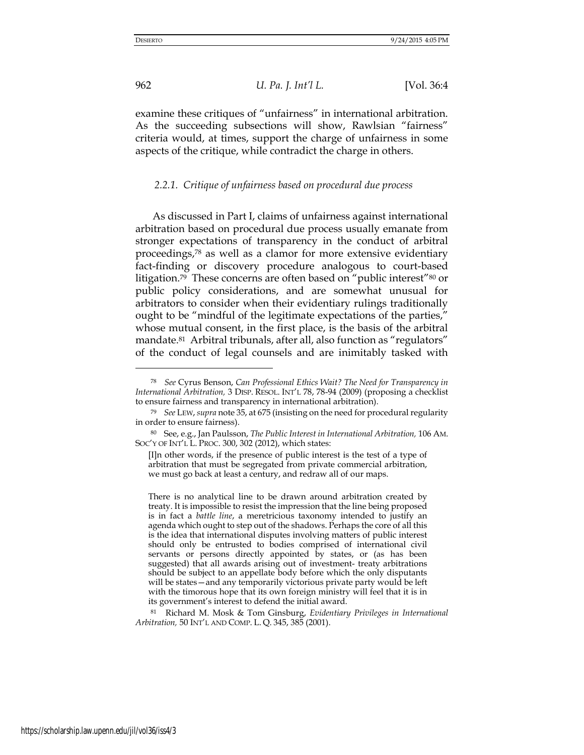-

962 *U. Pa. J. Int'l L.* [Vol. 36:4

examine these critiques of "unfairness" in international arbitration. As the succeeding subsections will show, Rawlsian "fairness" criteria would, at times, support the charge of unfairness in some aspects of the critique, while contradict the charge in others.

### *2.2.1. Critique of unfairness based on procedural due process*

As discussed in Part I, claims of unfairness against international arbitration based on procedural due process usually emanate from stronger expectations of transparency in the conduct of arbitral proceedings,78 as well as a clamor for more extensive evidentiary fact-finding or discovery procedure analogous to court-based litigation.<sup>79</sup> These concerns are often based on "public interest"80 or public policy considerations, and are somewhat unusual for arbitrators to consider when their evidentiary rulings traditionally ought to be "mindful of the legitimate expectations of the parties," whose mutual consent, in the first place, is the basis of the arbitral mandate.<sup>81</sup> Arbitral tribunals, after all, also function as "regulators" of the conduct of legal counsels and are inimitably tasked with

<sup>81</sup> Richard M. Mosk & Tom Ginsburg, *Evidentiary Privileges in International Arbitration,* 50 INT'L AND COMP. L. Q. 345, 385 (2001).

<sup>78</sup> *See* Cyrus Benson, *Can Professional Ethics Wait? The Need for Transparency in International Arbitration,* 3 DISP. RESOL. INT'L 78, 78-94 (2009) (proposing a checklist to ensure fairness and transparency in international arbitration).

<sup>79</sup> *See* LEW, *supra* note 35, at 675 (insisting on the need for procedural regularity in order to ensure fairness).

<sup>80</sup> See, e.g., Jan Paulsson, *The Public Interest in International Arbitration,* 106 AM. SOC'Y OF INT'L L. PROC. 300, 302 (2012), which states:

 <sup>[</sup>I]n other words, if the presence of public interest is the test of a type of arbitration that must be segregated from private commercial arbitration, we must go back at least a century, and redraw all of our maps.

There is no analytical line to be drawn around arbitration created by treaty. It is impossible to resist the impression that the line being proposed is in fact a *battle line*, a meretricious taxonomy intended to justify an agenda which ought to step out of the shadows. Perhaps the core of all this is the idea that international disputes involving matters of public interest should only be entrusted to bodies comprised of international civil servants or persons directly appointed by states, or (as has been suggested) that all awards arising out of investment- treaty arbitrations should be subject to an appellate body before which the only disputants will be states—and any temporarily victorious private party would be left with the timorous hope that its own foreign ministry will feel that it is in its government's interest to defend the initial award.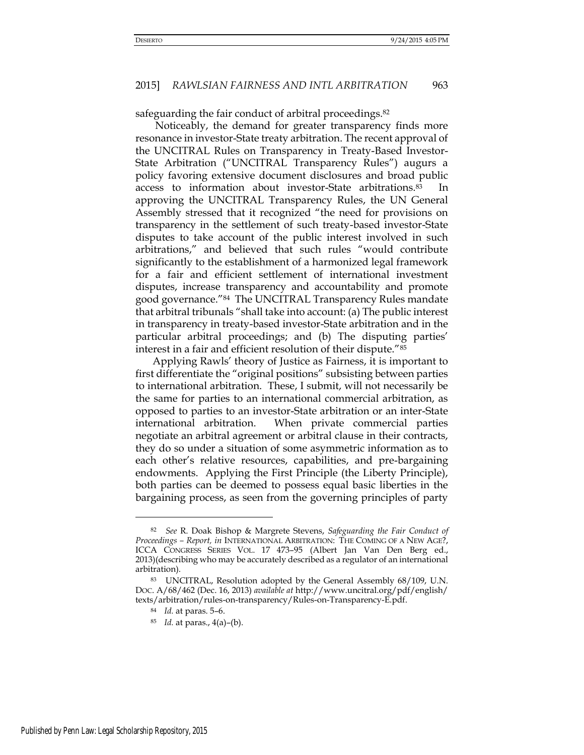safeguarding the fair conduct of arbitral proceedings.<sup>82</sup>

 Noticeably, the demand for greater transparency finds more resonance in investor-State treaty arbitration. The recent approval of the UNCITRAL Rules on Transparency in Treaty-Based Investor-State Arbitration ("UNCITRAL Transparency Rules") augurs a policy favoring extensive document disclosures and broad public access to information about investor-State arbitrations.83 In approving the UNCITRAL Transparency Rules, the UN General Assembly stressed that it recognized "the need for provisions on transparency in the settlement of such treaty-based investor-State disputes to take account of the public interest involved in such arbitrations," and believed that such rules "would contribute significantly to the establishment of a harmonized legal framework for a fair and efficient settlement of international investment disputes, increase transparency and accountability and promote good governance."84 The UNCITRAL Transparency Rules mandate that arbitral tribunals "shall take into account: (a) The public interest in transparency in treaty-based investor-State arbitration and in the particular arbitral proceedings; and (b) The disputing parties' interest in a fair and efficient resolution of their dispute."<sup>85</sup>

Applying Rawls' theory of Justice as Fairness, it is important to first differentiate the "original positions" subsisting between parties to international arbitration. These, I submit, will not necessarily be the same for parties to an international commercial arbitration, as opposed to parties to an investor-State arbitration or an inter-State international arbitration. When private commercial parties negotiate an arbitral agreement or arbitral clause in their contracts, they do so under a situation of some asymmetric information as to each other's relative resources, capabilities, and pre-bargaining endowments. Applying the First Principle (the Liberty Principle), both parties can be deemed to possess equal basic liberties in the bargaining process, as seen from the governing principles of party

<sup>82</sup> *See* R. Doak Bishop & Margrete Stevens, *Safeguarding the Fair Conduct of Proceedings – Report, in* INTERNATIONAL ARBITRATION: THE COMING OF A NEW AGE?, ICCA CONGRESS SERIES VOL. 17 473–95 (Albert Jan Van Den Berg ed., 2013)(describing who may be accurately described as a regulator of an international arbitration).

<sup>83</sup> UNCITRAL, Resolution adopted by the General Assembly 68/109, U.N. DOC. A/68/462 (Dec. 16, 2013) *available at* http://www.uncitral.org/pdf/english/ texts/arbitration/rules-on-transparency/Rules-on-Transparency-E.pdf.

<sup>84</sup> *Id.* at paras. 5–6.

<sup>85</sup> *Id.* at paras., 4(a)–(b).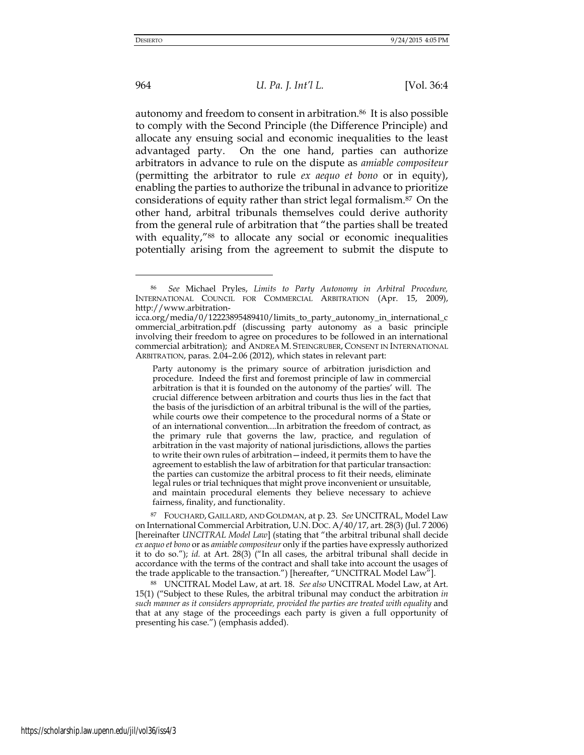964 *U. Pa. J. Int'l L.* [Vol. 36:4

autonomy and freedom to consent in arbitration.86 It is also possible to comply with the Second Principle (the Difference Principle) and allocate any ensuing social and economic inequalities to the least advantaged party. On the one hand, parties can authorize arbitrators in advance to rule on the dispute as *amiable compositeur*  (permitting the arbitrator to rule *ex aequo et bono* or in equity), enabling the parties to authorize the tribunal in advance to prioritize considerations of equity rather than strict legal formalism.87 On the other hand, arbitral tribunals themselves could derive authority from the general rule of arbitration that "the parties shall be treated with equality,"<sup>88</sup> to allocate any social or economic inequalities potentially arising from the agreement to submit the dispute to

Party autonomy is the primary source of arbitration jurisdiction and procedure. Indeed the first and foremost principle of law in commercial arbitration is that it is founded on the autonomy of the parties' will. The crucial difference between arbitration and courts thus lies in the fact that the basis of the jurisdiction of an arbitral tribunal is the will of the parties, while courts owe their competence to the procedural norms of a State or of an international convention....In arbitration the freedom of contract, as the primary rule that governs the law, practice, and regulation of arbitration in the vast majority of national jurisdictions, allows the parties to write their own rules of arbitration—indeed, it permits them to have the agreement to establish the law of arbitration for that particular transaction: the parties can customize the arbitral process to fit their needs, eliminate legal rules or trial techniques that might prove inconvenient or unsuitable, and maintain procedural elements they believe necessary to achieve fairness, finality, and functionality.

<sup>87</sup> FOUCHARD, GAILLARD, AND GOLDMAN, at p. 23. *See* UNCITRAL, Model Law on International Commercial Arbitration, U.N. DOC. A/40/17, art. 28(3) (Jul. 7 2006) [hereinafter *UNCITRAL Model Law*] (stating that "the arbitral tribunal shall decide *ex aequo et bono* or as *amiable compositeur* only if the parties have expressly authorized it to do so."); *id.* at Art. 28(3) ("In all cases, the arbitral tribunal shall decide in accordance with the terms of the contract and shall take into account the usages of the trade applicable to the transaction.") [hereafter, "UNCITRAL Model Law"].

<sup>88</sup> UNCITRAL Model Law, at art. 18. *See also* UNCITRAL Model Law, at Art. 15(1) ("Subject to these Rules, the arbitral tribunal may conduct the arbitration *in such manner as it considers appropriate, provided the parties are treated with equality* and that at any stage of the proceedings each party is given a full opportunity of presenting his case.") (emphasis added).

<sup>86</sup> *See* Michael Pryles, *Limits to Party Autonomy in Arbitral Procedure,*  INTERNATIONAL COUNCIL FOR COMMERCIAL ARBITRATION (Apr. 15, 2009), http://www.arbitration-

icca.org/media/0/12223895489410/limits\_to\_party\_autonomy\_in\_international\_c ommercial\_arbitration.pdf (discussing party autonomy as a basic principle involving their freedom to agree on procedures to be followed in an international commercial arbitration); and ANDREA M. STEINGRUBER, CONSENT IN INTERNATIONAL ARBITRATION, paras. 2.04–2.06 (2012), which states in relevant part: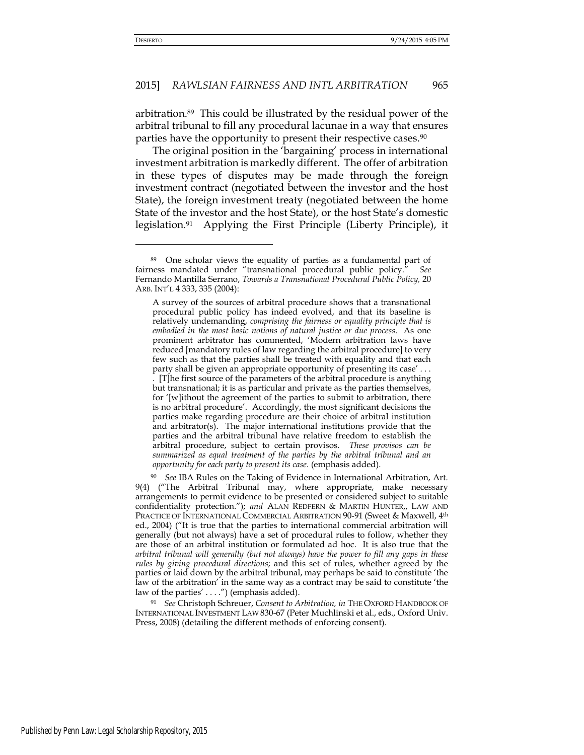arbitration.89 This could be illustrated by the residual power of the arbitral tribunal to fill any procedural lacunae in a way that ensures parties have the opportunity to present their respective cases.<sup>90</sup>

The original position in the 'bargaining' process in international investment arbitration is markedly different. The offer of arbitration in these types of disputes may be made through the foreign investment contract (negotiated between the investor and the host State), the foreign investment treaty (negotiated between the home State of the investor and the host State), or the host State's domestic legislation.91 Applying the First Principle (Liberty Principle), it

<sup>90</sup> *See* IBA Rules on the Taking of Evidence in International Arbitration, Art. 9(4) ("The Arbitral Tribunal may, where appropriate, make necessary arrangements to permit evidence to be presented or considered subject to suitable confidentiality protection."); *and* ALAN REDFERN & MARTIN HUNTER,, LAW AND PRACTICE OF INTERNATIONAL COMMERCIAL ARBITRATION 90-91 (Sweet & Maxwell, 4th ed., 2004) ("It is true that the parties to international commercial arbitration will generally (but not always) have a set of procedural rules to follow, whether they are those of an arbitral institution or formulated ad hoc. It is also true that the *arbitral tribunal will generally (but not always) have the power to fill any gaps in these rules by giving procedural directions*; and this set of rules, whether agreed by the parties or laid down by the arbitral tribunal, may perhaps be said to constitute 'the law of the arbitration' in the same way as a contract may be said to constitute 'the law of the parties' . . . .") (emphasis added).

<sup>91</sup> *See* Christoph Schreuer, *Consent to Arbitration, in* THE OXFORD HANDBOOK OF INTERNATIONAL INVESTMENT LAW 830-67 (Peter Muchlinski et al., eds., Oxford Univ. Press, 2008) (detailing the different methods of enforcing consent).

<sup>89</sup> One scholar views the equality of parties as a fundamental part of fairness mandated under "transnational procedural public policy." *See*  Fernando Mantilla Serrano, *Towards a Transnational Procedural Public Policy,* 20 ARB. INT'L 4 333, 335 (2004):

A survey of the sources of arbitral procedure shows that a transnational procedural public policy has indeed evolved, and that its baseline is relatively undemanding, *comprising the fairness or equality principle that is embodied in the most basic notions of natural justice or due process*. As one prominent arbitrator has commented, 'Modern arbitration laws have reduced [mandatory rules of law regarding the arbitral procedure] to very few such as that the parties shall be treated with equality and that each party shall be given an appropriate opportunity of presenting its case' . . . . [T]he first source of the parameters of the arbitral procedure is anything but transnational; it is as particular and private as the parties themselves, for '[w]ithout the agreement of the parties to submit to arbitration, there is no arbitral procedure'. Accordingly, the most significant decisions the parties make regarding procedure are their choice of arbitral institution and arbitrator(s). The major international institutions provide that the parties and the arbitral tribunal have relative freedom to establish the arbitral procedure, subject to certain provisos. *These provisos can be summarized as equal treatment of the parties by the arbitral tribunal and an opportunity for each party to present its case*. (emphasis added).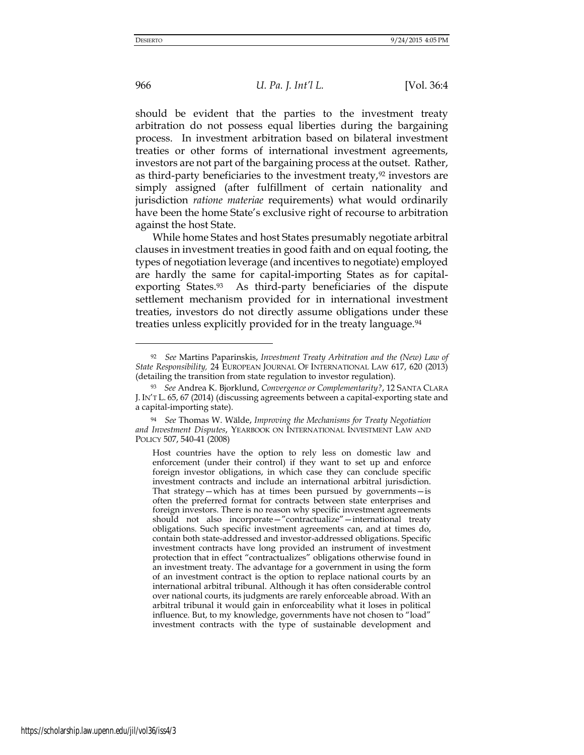966 *U. Pa. J. Int'l L.* [Vol. 36:4

should be evident that the parties to the investment treaty arbitration do not possess equal liberties during the bargaining process. In investment arbitration based on bilateral investment treaties or other forms of international investment agreements, investors are not part of the bargaining process at the outset. Rather, as third-party beneficiaries to the investment treaty, $92$  investors are simply assigned (after fulfillment of certain nationality and jurisdiction *ratione materiae* requirements) what would ordinarily have been the home State's exclusive right of recourse to arbitration against the host State.

While home States and host States presumably negotiate arbitral clauses in investment treaties in good faith and on equal footing, the types of negotiation leverage (and incentives to negotiate) employed are hardly the same for capital-importing States as for capitalexporting States.<sup>93</sup> As third-party beneficiaries of the dispute settlement mechanism provided for in international investment treaties, investors do not directly assume obligations under these treaties unless explicitly provided for in the treaty language.<sup>94</sup>

<sup>92</sup> *See* Martins Paparinskis, *Investment Treaty Arbitration and the (New) Law of State Responsibility,* 24 EUROPEAN JOURNAL OF INTERNATIONAL LAW 617, 620 (2013) (detailing the transition from state regulation to investor regulation).

<sup>93</sup> *See* Andrea K. Bjorklund, *Convergence or Complementarity?*, 12 SANTA CLARA J. IN'T L. 65, 67 (2014) (discussing agreements between a capital-exporting state and a capital-importing state).

<sup>94</sup> *See* Thomas W. Wälde, *Improving the Mechanisms for Treaty Negotiation and Investment Disputes*, YEARBOOK ON INTERNATIONAL INVESTMENT LAW AND POLICY 507, 540-41 (2008)

Host countries have the option to rely less on domestic law and enforcement (under their control) if they want to set up and enforce foreign investor obligations, in which case they can conclude specific investment contracts and include an international arbitral jurisdiction. That strategy—which has at times been pursued by governments—is often the preferred format for contracts between state enterprises and foreign investors. There is no reason why specific investment agreements should not also incorporate—"contractualize"—international treaty obligations. Such specific investment agreements can, and at times do, contain both state-addressed and investor-addressed obligations. Specific investment contracts have long provided an instrument of investment protection that in effect "contractualizes" obligations otherwise found in an investment treaty. The advantage for a government in using the form of an investment contract is the option to replace national courts by an international arbitral tribunal. Although it has often considerable control over national courts, its judgments are rarely enforceable abroad. With an arbitral tribunal it would gain in enforceability what it loses in political influence. But, to my knowledge, governments have not chosen to "load" investment contracts with the type of sustainable development and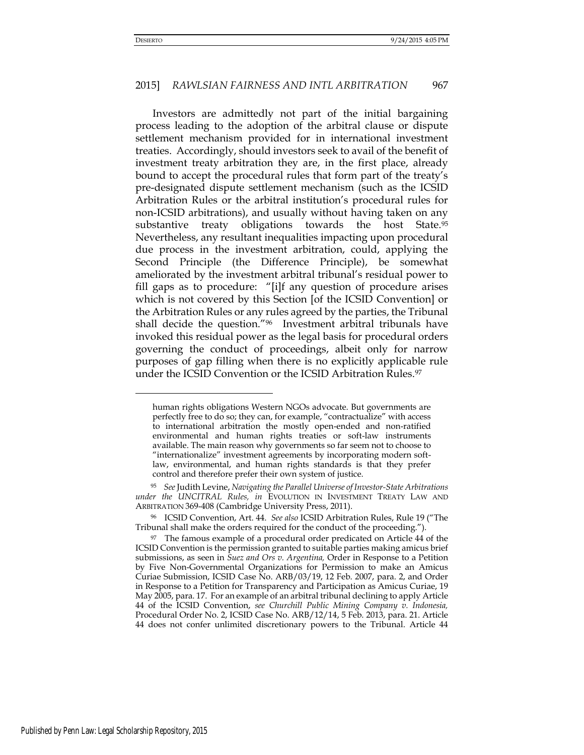#### 2015] *RAWLSIAN FAIRNESS AND INTL ARBITRATION* 967

Investors are admittedly not part of the initial bargaining process leading to the adoption of the arbitral clause or dispute settlement mechanism provided for in international investment treaties. Accordingly, should investors seek to avail of the benefit of investment treaty arbitration they are, in the first place, already bound to accept the procedural rules that form part of the treaty's pre-designated dispute settlement mechanism (such as the ICSID Arbitration Rules or the arbitral institution's procedural rules for non-ICSID arbitrations), and usually without having taken on any substantive treaty obligations towards the host State.<sup>95</sup> Nevertheless, any resultant inequalities impacting upon procedural due process in the investment arbitration, could, applying the Second Principle (the Difference Principle), be somewhat ameliorated by the investment arbitral tribunal's residual power to fill gaps as to procedure: "[i]f any question of procedure arises which is not covered by this Section [of the ICSID Convention] or the Arbitration Rules or any rules agreed by the parties, the Tribunal shall decide the question."96 Investment arbitral tribunals have invoked this residual power as the legal basis for procedural orders governing the conduct of proceedings, albeit only for narrow purposes of gap filling when there is no explicitly applicable rule under the ICSID Convention or the ICSID Arbitration Rules.<sup>97</sup>

human rights obligations Western NGOs advocate. But governments are perfectly free to do so; they can, for example, "contractualize" with access to international arbitration the mostly open-ended and non-ratified environmental and human rights treaties or soft-law instruments available. The main reason why governments so far seem not to choose to "internationalize" investment agreements by incorporating modern softlaw, environmental, and human rights standards is that they prefer control and therefore prefer their own system of justice.

<sup>95</sup> *See* Judith Levine, *Navigating the Parallel Universe of Investor-State Arbitrations under the UNCITRAL Rules, in* EVOLUTION IN INVESTMENT TREATY LAW AND ARBITRATION 369-408 (Cambridge University Press, 2011).

<sup>96</sup> ICSID Convention, Art. 44. *See also* ICSID Arbitration Rules, Rule 19 ("The Tribunal shall make the orders required for the conduct of the proceeding.").

<sup>&</sup>lt;sup>97</sup> The famous example of a procedural order predicated on Article 44 of the ICSID Convention is the permission granted to suitable parties making amicus brief submissions, as seen in *Suez and Ors v. Argentina,* Order in Response to a Petition by Five Non-Governmental Organizations for Permission to make an Amicus Curiae Submission, ICSID Case No. ARB/03/19, 12 Feb. 2007, para. 2, and Order in Response to a Petition for Transparency and Participation as Amicus Curiae, 19 May 2005, para. 17. For an example of an arbitral tribunal declining to apply Article 44 of the ICSID Convention, *see Churchill Public Mining Company v. Indonesia,*  Procedural Order No. 2, ICSID Case No. ARB/12/14, 5 Feb. 2013, para. 21. Article 44 does not confer unlimited discretionary powers to the Tribunal. Article 44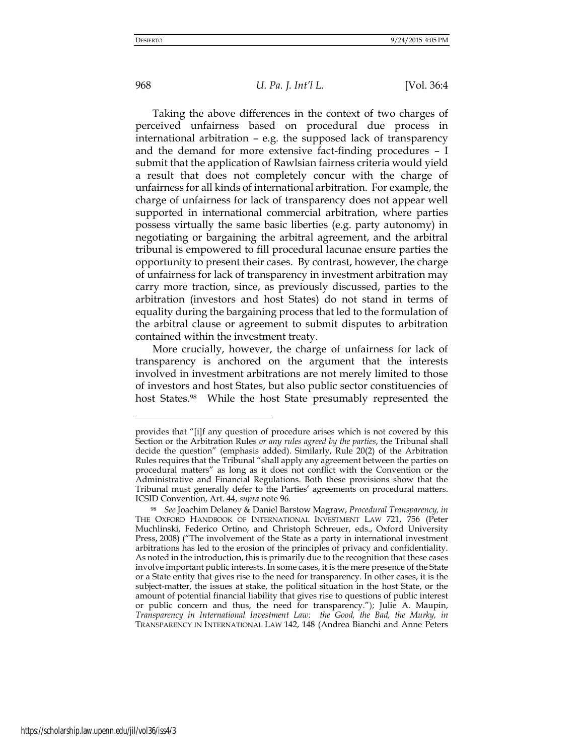## 968 *U. Pa. J. Int'l L.* [Vol. 36:4

Taking the above differences in the context of two charges of perceived unfairness based on procedural due process in international arbitration – e.g. the supposed lack of transparency and the demand for more extensive fact-finding procedures – I submit that the application of Rawlsian fairness criteria would yield a result that does not completely concur with the charge of unfairness for all kinds of international arbitration. For example, the charge of unfairness for lack of transparency does not appear well supported in international commercial arbitration, where parties possess virtually the same basic liberties (e.g. party autonomy) in negotiating or bargaining the arbitral agreement, and the arbitral tribunal is empowered to fill procedural lacunae ensure parties the opportunity to present their cases. By contrast, however, the charge of unfairness for lack of transparency in investment arbitration may carry more traction, since, as previously discussed, parties to the arbitration (investors and host States) do not stand in terms of equality during the bargaining process that led to the formulation of the arbitral clause or agreement to submit disputes to arbitration contained within the investment treaty.

More crucially, however, the charge of unfairness for lack of transparency is anchored on the argument that the interests involved in investment arbitrations are not merely limited to those of investors and host States, but also public sector constituencies of host States.98 While the host State presumably represented the

provides that "[i]f any question of procedure arises which is not covered by this Section or the Arbitration Rules *or any rules agreed by the parties*, the Tribunal shall decide the question" (emphasis added). Similarly, Rule 20(2) of the Arbitration Rules requires that the Tribunal "shall apply any agreement between the parties on procedural matters" as long as it does not conflict with the Convention or the Administrative and Financial Regulations. Both these provisions show that the Tribunal must generally defer to the Parties' agreements on procedural matters. ICSID Convention, Art. 44, *supra* note 96.

<sup>98</sup> *See* Joachim Delaney & Daniel Barstow Magraw, *Procedural Transparency, in*  THE OXFORD HANDBOOK OF INTERNATIONAL INVESTMENT LAW 721, 756 (Peter Muchlinski, Federico Ortino, and Christoph Schreuer, eds., Oxford University Press, 2008) ("The involvement of the State as a party in international investment arbitrations has led to the erosion of the principles of privacy and confidentiality. As noted in the introduction, this is primarily due to the recognition that these cases involve important public interests. In some cases, it is the mere presence of the State or a State entity that gives rise to the need for transparency. In other cases, it is the subject-matter, the issues at stake, the political situation in the host State, or the amount of potential financial liability that gives rise to questions of public interest or public concern and thus, the need for transparency."); Julie A. Maupin, *Transparency in International Investment Law: the Good, the Bad, the Murky, in* TRANSPARENCY IN INTERNATIONAL LAW 142, 148 (Andrea Bianchi and Anne Peters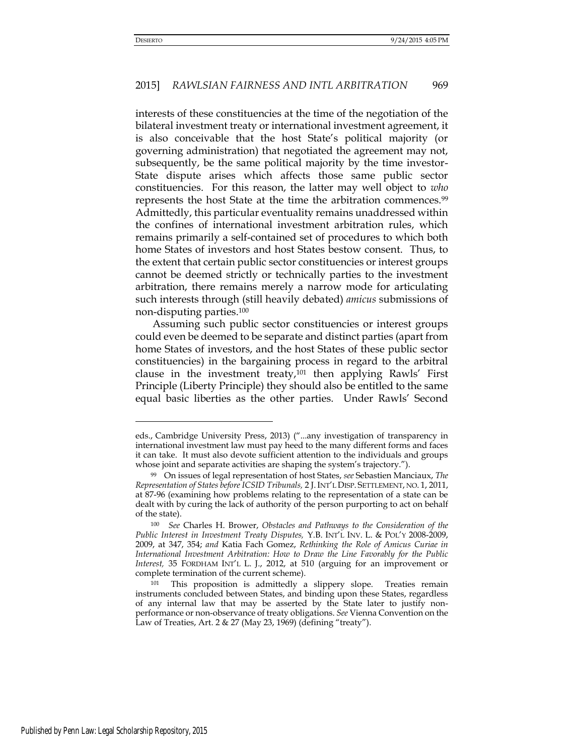interests of these constituencies at the time of the negotiation of the bilateral investment treaty or international investment agreement, it is also conceivable that the host State's political majority (or governing administration) that negotiated the agreement may not, subsequently, be the same political majority by the time investor-State dispute arises which affects those same public sector constituencies. For this reason, the latter may well object to *who*  represents the host State at the time the arbitration commences.<sup>99</sup> Admittedly, this particular eventuality remains unaddressed within the confines of international investment arbitration rules, which remains primarily a self-contained set of procedures to which both home States of investors and host States bestow consent. Thus, to the extent that certain public sector constituencies or interest groups cannot be deemed strictly or technically parties to the investment arbitration, there remains merely a narrow mode for articulating such interests through (still heavily debated) *amicus* submissions of non-disputing parties.<sup>100</sup>

Assuming such public sector constituencies or interest groups could even be deemed to be separate and distinct parties (apart from home States of investors, and the host States of these public sector constituencies) in the bargaining process in regard to the arbitral clause in the investment treaty, $101$  then applying Rawls' First Principle (Liberty Principle) they should also be entitled to the same equal basic liberties as the other parties. Under Rawls' Second

eds., Cambridge University Press, 2013) ("...any investigation of transparency in international investment law must pay heed to the many different forms and faces it can take. It must also devote sufficient attention to the individuals and groups whose joint and separate activities are shaping the system's trajectory.").

<sup>99</sup> On issues of legal representation of host States, *see* Sebastien Manciaux, *The Representation of States before ICSID Tribunals,* 2 J. INT'L DISP. SETTLEMENT, NO. 1, 2011, at 87-96 (examining how problems relating to the representation of a state can be dealt with by curing the lack of authority of the person purporting to act on behalf of the state).

<sup>100</sup> *See* Charles H. Brower, *Obstacles and Pathways to the Consideration of the Public Interest in Investment Treaty Disputes,* Y.B. INT'L INV. L. & POL'Y 2008-2009, 2009, at 347, 354; *and* Katia Fach Gomez, *Rethinking the Role of Amicus Curiae in International Investment Arbitration: How to Draw the Line Favorably for the Public Interest,* 35 FORDHAM INT'L L. J., 2012, at 510 (arguing for an improvement or complete termination of the current scheme).

This proposition is admittedly a slippery slope. Treaties remain instruments concluded between States, and binding upon these States, regardless of any internal law that may be asserted by the State later to justify nonperformance or non-observance of treaty obligations. *See* Vienna Convention on the Law of Treaties, Art. 2 & 27 (May 23, 1969) (defining "treaty").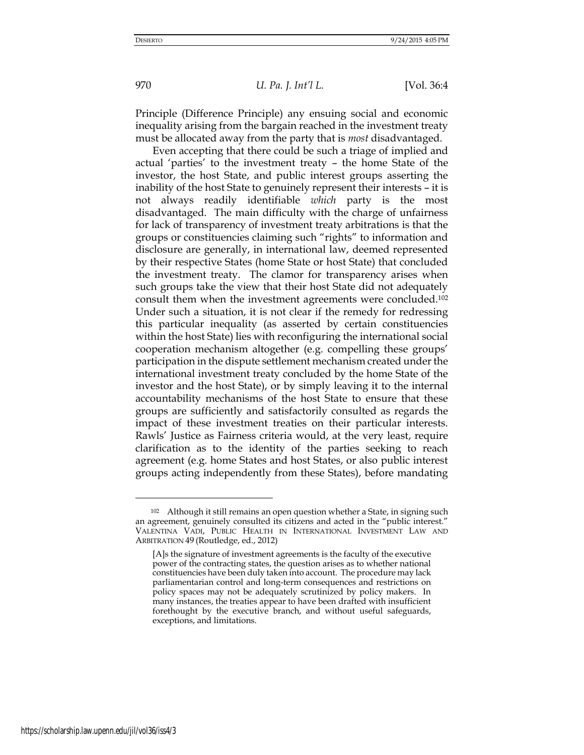Principle (Difference Principle) any ensuing social and economic inequality arising from the bargain reached in the investment treaty must be allocated away from the party that is *most* disadvantaged.

Even accepting that there could be such a triage of implied and actual 'parties' to the investment treaty – the home State of the investor, the host State, and public interest groups asserting the inability of the host State to genuinely represent their interests – it is not always readily identifiable *which* party is the most disadvantaged. The main difficulty with the charge of unfairness for lack of transparency of investment treaty arbitrations is that the groups or constituencies claiming such "rights" to information and disclosure are generally, in international law, deemed represented by their respective States (home State or host State) that concluded the investment treaty. The clamor for transparency arises when such groups take the view that their host State did not adequately consult them when the investment agreements were concluded.<sup>102</sup> Under such a situation, it is not clear if the remedy for redressing this particular inequality (as asserted by certain constituencies within the host State) lies with reconfiguring the international social cooperation mechanism altogether (e.g. compelling these groups' participation in the dispute settlement mechanism created under the international investment treaty concluded by the home State of the investor and the host State), or by simply leaving it to the internal accountability mechanisms of the host State to ensure that these groups are sufficiently and satisfactorily consulted as regards the impact of these investment treaties on their particular interests. Rawls' Justice as Fairness criteria would, at the very least, require clarification as to the identity of the parties seeking to reach agreement (e.g. home States and host States, or also public interest groups acting independently from these States), before mandating

<sup>102</sup> Although it still remains an open question whether a State, in signing such an agreement, genuinely consulted its citizens and acted in the "public interest." VALENTINA VADI, PUBLIC HEALTH IN INTERNATIONAL INVESTMENT LAW AND ARBITRATION 49 (Routledge, ed., 2012)

<sup>[</sup>A]s the signature of investment agreements is the faculty of the executive power of the contracting states, the question arises as to whether national constituencies have been duly taken into account. The procedure may lack parliamentarian control and long-term consequences and restrictions on policy spaces may not be adequately scrutinized by policy makers. In many instances, the treaties appear to have been drafted with insufficient forethought by the executive branch, and without useful safeguards, exceptions, and limitations.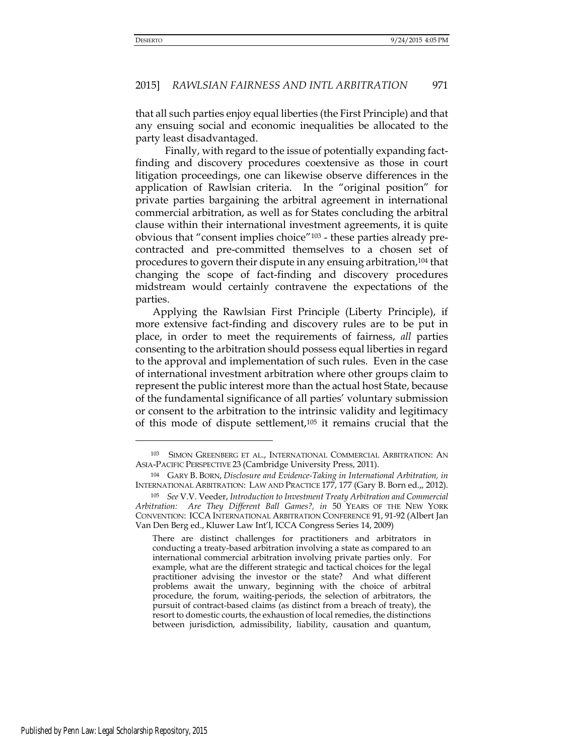that all such parties enjoy equal liberties (the First Principle) and that any ensuing social and economic inequalities be allocated to the party least disadvantaged.

 Finally, with regard to the issue of potentially expanding factfinding and discovery procedures coextensive as those in court litigation proceedings, one can likewise observe differences in the application of Rawlsian criteria. In the "original position" for private parties bargaining the arbitral agreement in international commercial arbitration, as well as for States concluding the arbitral clause within their international investment agreements, it is quite obvious that "consent implies choice"103 - these parties already precontracted and pre-committed themselves to a chosen set of procedures to govern their dispute in any ensuing arbitration,104 that changing the scope of fact-finding and discovery procedures midstream would certainly contravene the expectations of the parties.

Applying the Rawlsian First Principle (Liberty Principle), if more extensive fact-finding and discovery rules are to be put in place, in order to meet the requirements of fairness, *all* parties consenting to the arbitration should possess equal liberties in regard to the approval and implementation of such rules. Even in the case of international investment arbitration where other groups claim to represent the public interest more than the actual host State, because of the fundamental significance of all parties' voluntary submission or consent to the arbitration to the intrinsic validity and legitimacy of this mode of dispute settlement,105 it remains crucial that the

There are distinct challenges for practitioners and arbitrators in conducting a treaty-based arbitration involving a state as compared to an international commercial arbitration involving private parties only. For example, what are the different strategic and tactical choices for the legal practitioner advising the investor or the state? And what different problems await the unwary, beginning with the choice of arbitral procedure, the forum, waiting-periods, the selection of arbitrators, the pursuit of contract-based claims (as distinct from a breach of treaty), the resort to domestic courts, the exhaustion of local remedies, the distinctions between jurisdiction, admissibility, liability, causation and quantum,

<sup>103</sup> SIMON GREENBERG ET AL., INTERNATIONAL COMMERCIAL ARBITRATION: AN ASIA-PACIFIC PERSPECTIVE 23 (Cambridge University Press, 2011).

<sup>104</sup> GARY B. BORN, *Disclosure and Evidence-Taking in International Arbitration, in* INTERNATIONAL ARBITRATION: LAW AND PRACTICE 177, 177 (Gary B. Born ed.,, 2012).

<sup>105</sup> *See* V.V. Veeder, *Introduction to Investment Treaty Arbitration and Commercial Arbitration: Are They Different Ball Games?, in* 50 YEARS OF THE NEW YORK CONVENTION: ICCA INTERNATIONAL ARBITRATION CONFERENCE 91, 91-92 (Albert Jan Van Den Berg ed., Kluwer Law Int'l, ICCA Congress Series 14, 2009)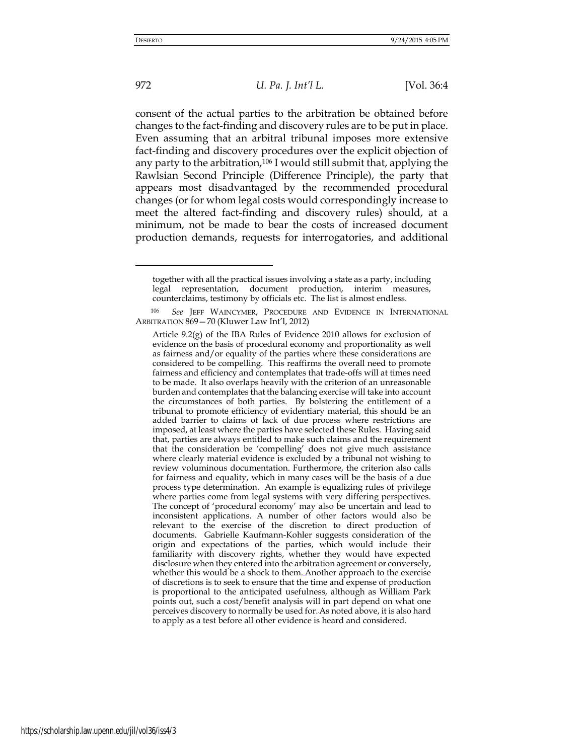-

972 *U. Pa. J. Int'l L.* [Vol. 36:4

consent of the actual parties to the arbitration be obtained before changes to the fact-finding and discovery rules are to be put in place. Even assuming that an arbitral tribunal imposes more extensive fact-finding and discovery procedures over the explicit objection of any party to the arbitration,106 I would still submit that, applying the Rawlsian Second Principle (Difference Principle), the party that appears most disadvantaged by the recommended procedural changes (or for whom legal costs would correspondingly increase to meet the altered fact-finding and discovery rules) should, at a minimum, not be made to bear the costs of increased document production demands, requests for interrogatories, and additional

together with all the practical issues involving a state as a party, including legal representation, document production, interim measures, counterclaims, testimony by officials etc. The list is almost endless.

See JEFF WAINCYMER, PROCEDURE AND EVIDENCE IN INTERNATIONAL ARBITRATION 869—70 (Kluwer Law Int'l, 2012)

Article 9.2(g) of the IBA Rules of Evidence 2010 allows for exclusion of evidence on the basis of procedural economy and proportionality as well as fairness and/or equality of the parties where these considerations are considered to be compelling. This reaffirms the overall need to promote fairness and efficiency and contemplates that trade-offs will at times need to be made. It also overlaps heavily with the criterion of an unreasonable burden and contemplates that the balancing exercise will take into account the circumstances of both parties. By bolstering the entitlement of a tribunal to promote efficiency of evidentiary material, this should be an added barrier to claims of lack of due process where restrictions are imposed, at least where the parties have selected these Rules. Having said that, parties are always entitled to make such claims and the requirement that the consideration be 'compelling' does not give much assistance where clearly material evidence is excluded by a tribunal not wishing to review voluminous documentation. Furthermore, the criterion also calls for fairness and equality, which in many cases will be the basis of a due process type determination. An example is equalizing rules of privilege where parties come from legal systems with very differing perspectives[.](http://www.kluwerarbitration.com/CommonUI/document.aspx?id=KLI-KA-1226014-n&query=ONEAR/0(content%3A%22objections%22,content%3A%22to%22,content%3A%22document%22,content%3A%22production%22)#note153) The concept of 'procedural economy' may also be uncertain and lead to inconsistent applications. A number of other factors would also be relevant to the exercise of the discretion to direct production of documents. Gabrielle Kaufmann-Kohler suggests consideration of the origin and expectations of the parties, which would include their familiarity with discovery rights, whether they would have expected disclosure when they entered into the arbitration agreement or conversely, whether this would be a shock to them. [A](http://www.kluwerarbitration.com/CommonUI/document.aspx?id=KLI-KA-1226014-n&query=ONEAR/0(content%3A%22objections%22,content%3A%22to%22,content%3A%22document%22,content%3A%22production%22)#note155)nother approach to the exercise of discretions is to seek to ensure that the time and expense of production is proportional to the anticipated usefulness, although as William Park points out, such a cost/benefit analysis will in part depend on what one perceives discovery to normally be used fo[r.A](http://www.kluwerarbitration.com/CommonUI/document.aspx?id=KLI-KA-1226014-n&query=ONEAR/0(content%3A%22objections%22,content%3A%22to%22,content%3A%22document%22,content%3A%22production%22)#note156)s noted above, it is also hard to apply as a test before all other evidence is heard and considered.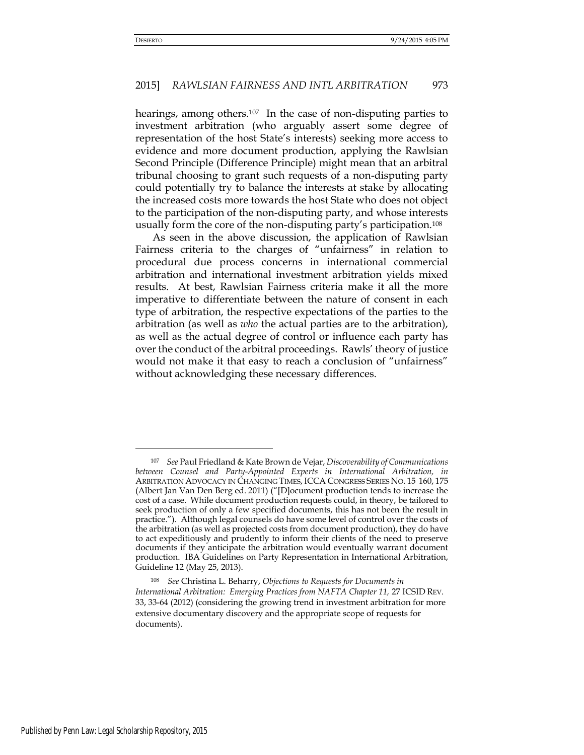hearings, among others.<sup>107</sup> In the case of non-disputing parties to investment arbitration (who arguably assert some degree of representation of the host State's interests) seeking more access to evidence and more document production, applying the Rawlsian Second Principle (Difference Principle) might mean that an arbitral tribunal choosing to grant such requests of a non-disputing party could potentially try to balance the interests at stake by allocating the increased costs more towards the host State who does not object to the participation of the non-disputing party, and whose interests usually form the core of the non-disputing party's participation.<sup>108</sup>

As seen in the above discussion, the application of Rawlsian Fairness criteria to the charges of "unfairness" in relation to procedural due process concerns in international commercial arbitration and international investment arbitration yields mixed results. At best, Rawlsian Fairness criteria make it all the more imperative to differentiate between the nature of consent in each type of arbitration, the respective expectations of the parties to the arbitration (as well as *who* the actual parties are to the arbitration), as well as the actual degree of control or influence each party has over the conduct of the arbitral proceedings. Rawls' theory of justice would not make it that easy to reach a conclusion of "unfairness" without acknowledging these necessary differences.

<sup>107</sup> *See* Paul Friedland & Kate Brown de Vejar, *Discoverability of Communications between Counsel and Party-Appointed Experts in International Arbitration, in*  ARBITRATION ADVOCACY IN CHANGING TIMES, ICCA CONGRESS SERIES NO. 15 160, 175 (Albert Jan Van Den Berg ed. 2011) ("[D]ocument production tends to increase the cost of a case. While document production requests could, in theory, be tailored to seek production of only a few specified documents, this has not been the result in practice."). Although legal counsels do have some level of control over the costs of the arbitration (as well as projected costs from document production), they do have to act expeditiously and prudently to inform their clients of the need to preserve documents if they anticipate the arbitration would eventually warrant document production. IBA Guidelines on Party Representation in International Arbitration, Guideline 12 (May 25, 2013).

<sup>108</sup> *See* Christina L. Beharry, *Objections to Requests for Documents in International Arbitration: Emerging Practices from NAFTA Chapter 11, 27 ICSID REV.* 33, 33-64 (2012) (considering the growing trend in investment arbitration for more extensive documentary discovery and the appropriate scope of requests for documents).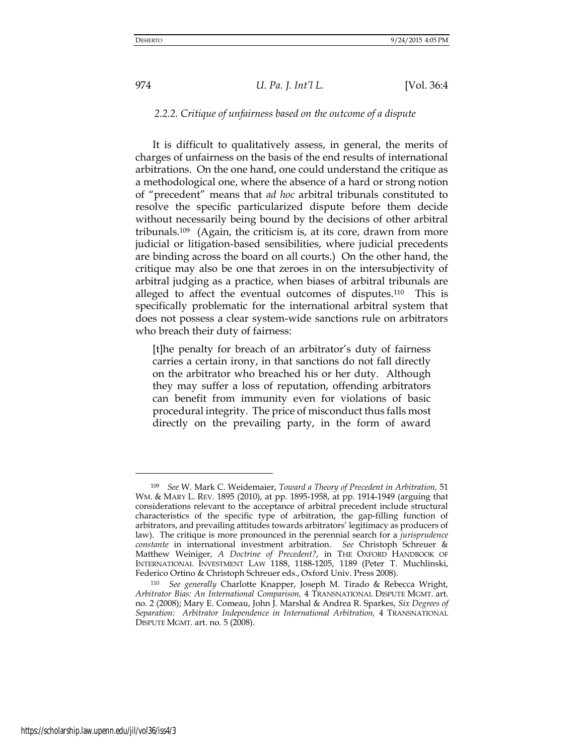### *2.2.2. Critique of unfairness based on the outcome of a dispute*

It is difficult to qualitatively assess, in general, the merits of charges of unfairness on the basis of the end results of international arbitrations. On the one hand, one could understand the critique as a methodological one, where the absence of a hard or strong notion of "precedent" means that *ad hoc* arbitral tribunals constituted to resolve the specific particularized dispute before them decide without necessarily being bound by the decisions of other arbitral tribunals.109 (Again, the criticism is, at its core, drawn from more judicial or litigation-based sensibilities, where judicial precedents are binding across the board on all courts.) On the other hand, the critique may also be one that zeroes in on the intersubjectivity of arbitral judging as a practice, when biases of arbitral tribunals are alleged to affect the eventual outcomes of disputes.110 This is specifically problematic for the international arbitral system that does not possess a clear system-wide sanctions rule on arbitrators who breach their duty of fairness:

[t]he penalty for breach of an arbitrator's duty of fairness carries a certain irony, in that sanctions do not fall directly on the arbitrator who breached his or her duty. Although they may suffer a loss of reputation, offending arbitrators can benefit from immunity even for violations of basic procedural integrity. The price of misconduct thus falls most directly on the prevailing party, in the form of award

<sup>109</sup> *See* W. Mark C. Weidemaier, *Toward a Theory of Precedent in Arbitration,* 51 WM. & MARY L. REV. 1895 (2010), at pp. 1895-1958, at pp. 1914-1949 (arguing that considerations relevant to the acceptance of arbitral precedent include structural characteristics of the specific type of arbitration, the gap-filling function of arbitrators, and prevailing attitudes towards arbitrators' legitimacy as producers of law). The critique is more pronounced in the perennial search for a *jurisprudence constante* in international investment arbitration. *See* Christoph Schreuer & Matthew Weiniger, *A Doctrine of Precedent?*, in THE OXFORD HANDBOOK OF INTERNATIONAL INVESTMENT LAW 1188, 1188-1205, 1189 (Peter T. Muchlinski, Federico Ortino & Christoph Schreuer eds., Oxford Univ. Press 2008).

<sup>110</sup> *See generally* Charlotte Knapper, Joseph M. Tirado & Rebecca Wright, *Arbitrator Bias: An International Comparison,* 4 TRANSNATIONAL DISPUTE MGMT. art. no. 2 (2008); Mary E. Comeau, John J. Marshal & Andrea R. Sparkes, *Six Degrees of Separation: Arbitrator Independence in International Arbitration,* 4 TRANSNATIONAL DISPUTE MGMT. art. no. 5 (2008).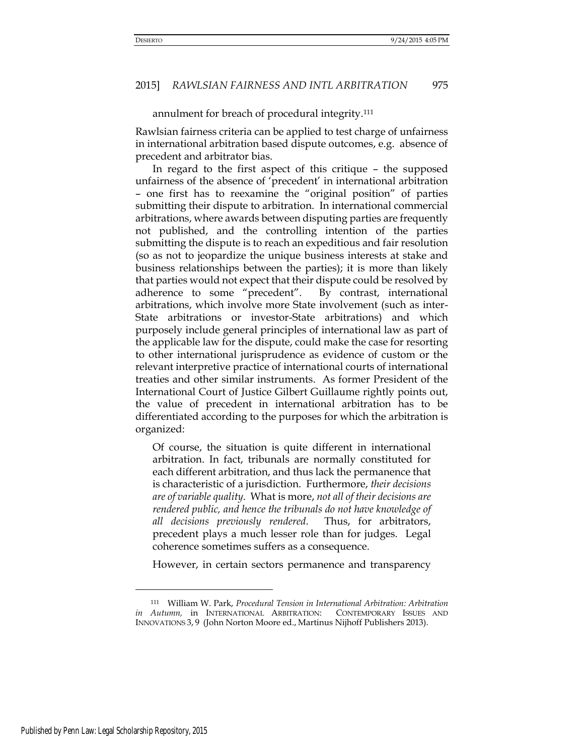annulment for breach of procedural integrity.<sup>111</sup>

Rawlsian fairness criteria can be applied to test charge of unfairness in international arbitration based dispute outcomes, e.g. absence of precedent and arbitrator bias.

In regard to the first aspect of this critique – the supposed unfairness of the absence of 'precedent' in international arbitration – one first has to reexamine the "original position" of parties submitting their dispute to arbitration. In international commercial arbitrations, where awards between disputing parties are frequently not published, and the controlling intention of the parties submitting the dispute is to reach an expeditious and fair resolution (so as not to jeopardize the unique business interests at stake and business relationships between the parties); it is more than likely that parties would not expect that their dispute could be resolved by adherence to some "precedent". By contrast, international arbitrations, which involve more State involvement (such as inter-State arbitrations or investor-State arbitrations) and which purposely include general principles of international law as part of the applicable law for the dispute, could make the case for resorting to other international jurisprudence as evidence of custom or the relevant interpretive practice of international courts of international treaties and other similar instruments. As former President of the International Court of Justice Gilbert Guillaume rightly points out, the value of precedent in international arbitration has to be differentiated according to the purposes for which the arbitration is organized:

Of course, the situation is quite different in international arbitration. In fact, tribunals are normally constituted for each different arbitration, and thus lack the permanence that is characteristic of a jurisdiction. Furthermore, *their decisions are of variable quality*. What is more, *not all of their decisions are rendered public, and hence the tribunals do not have knowledge of all decisions previously rendered*. Thus, for arbitrators, precedent plays a much lesser role than for judges. Legal coherence sometimes suffers as a consequence.

However, in certain sectors permanence and transparency

<sup>111</sup> William W. Park, *Procedural Tension in International Arbitration: Arbitration in Autumn,* in INTERNATIONAL ARBITRATION: CONTEMPORARY ISSUES AND INNOVATIONS 3, 9 (John Norton Moore ed., Martinus Nijhoff Publishers 2013).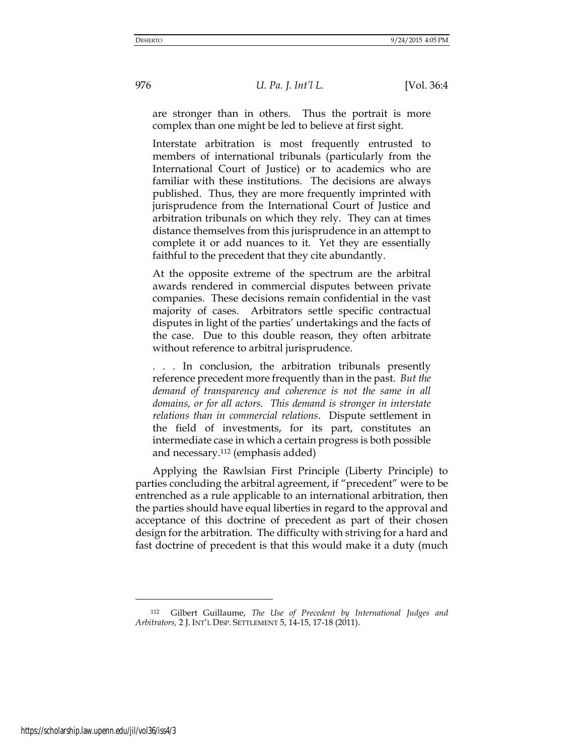are stronger than in others. Thus the portrait is more complex than one might be led to believe at first sight.

Interstate arbitration is most frequently entrusted to members of international tribunals (particularly from the International Court of Justice) or to academics who are familiar with these institutions. The decisions are always published. Thus, they are more frequently imprinted with jurisprudence from the International Court of Justice and arbitration tribunals on which they rely. They can at times distance themselves from this jurisprudence in an attempt to complete it or add nuances to it. Yet they are essentially faithful to the precedent that they cite abundantly.

At the opposite extreme of the spectrum are the arbitral awards rendered in commercial disputes between private companies. These decisions remain confidential in the vast majority of cases. Arbitrators settle specific contractual disputes in light of the parties' undertakings and the facts of the case. Due to this double reason, they often arbitrate without reference to arbitral jurisprudence.

. . . In conclusion, the arbitration tribunals presently reference precedent more frequently than in the past. *But the demand of transparency and coherence is not the same in all domains, or for all actors. This demand is stronger in interstate relations than in commercial relations*. Dispute settlement in the field of investments, for its part, constitutes an intermediate case in which a certain progress is both possible and necessary.112 (emphasis added)

Applying the Rawlsian First Principle (Liberty Principle) to parties concluding the arbitral agreement, if "precedent" were to be entrenched as a rule applicable to an international arbitration, then the parties should have equal liberties in regard to the approval and acceptance of this doctrine of precedent as part of their chosen design for the arbitration. The difficulty with striving for a hard and fast doctrine of precedent is that this would make it a duty (much

<sup>112</sup> Gilbert Guillaume, *The Use of Precedent by International Judges and Arbitrators,* 2 J. INT'L DISP. SETTLEMENT 5, 14-15, 17-18 (2011).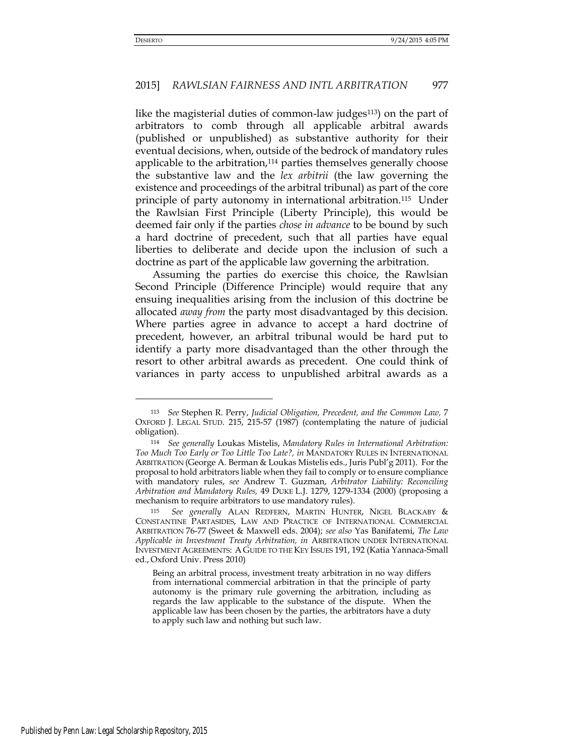# 2015] *RAWLSIAN FAIRNESS AND INTL ARBITRATION* 977

like the magisterial duties of common-law judges<sup>113</sup>) on the part of arbitrators to comb through all applicable arbitral awards (published or unpublished) as substantive authority for their eventual decisions, when, outside of the bedrock of mandatory rules applicable to the arbitration,114 parties themselves generally choose the substantive law and the *lex arbitrii* (the law governing the existence and proceedings of the arbitral tribunal) as part of the core principle of party autonomy in international arbitration.115 Under the Rawlsian First Principle (Liberty Principle), this would be deemed fair only if the parties *chose in advance* to be bound by such a hard doctrine of precedent, such that all parties have equal liberties to deliberate and decide upon the inclusion of such a doctrine as part of the applicable law governing the arbitration.

Assuming the parties do exercise this choice, the Rawlsian Second Principle (Difference Principle) would require that any ensuing inequalities arising from the inclusion of this doctrine be allocated *away from* the party most disadvantaged by this decision. Where parties agree in advance to accept a hard doctrine of precedent, however, an arbitral tribunal would be hard put to identify a party more disadvantaged than the other through the resort to other arbitral awards as precedent. One could think of variances in party access to unpublished arbitral awards as a

<sup>113</sup> *See* Stephen R. Perry, *Judicial Obligation, Precedent, and the Common Law,* 7 OXFORD J. LEGAL STUD. 215, 215-57 (1987) (contemplating the nature of judicial obligation).

<sup>114</sup> *See generally* Loukas Mistelis, *Mandatory Rules in International Arbitration: Too Much Too Early or Too Little Too Late?, in* MANDATORY RULES IN INTERNATIONAL ARBITRATION (George A. Berman & Loukas Mistelis eds., Juris Publ'g 2011). For the proposal to hold arbitrators liable when they fail to comply or to ensure compliance with mandatory rules, *see* Andrew T. Guzman, *Arbitrator Liability: Reconciling Arbitration and Mandatory Rules,* 49 DUKE L.J. 1279, 1279-1334 (2000) (proposing a mechanism to require arbitrators to use mandatory rules).

<sup>115</sup> *See generally* ALAN REDFERN, MARTIN HUNTER, NIGEL BLACKABY & CONSTANTINE PARTASIDES, LAW AND PRACTICE OF INTERNATIONAL COMMERCIAL ARBITRATION 76-77 (Sweet & Maxwell eds. 2004); *see also* Yas Banifatemi, *The Law Applicable in Investment Treaty Arbitration, in* ARBITRATION UNDER INTERNATIONAL INVESTMENT AGREEMENTS: A GUIDE TO THE KEY ISSUES 191, 192 (Katia Yannaca-Small ed., Oxford Univ. Press 2010)

Being an arbitral process, investment treaty arbitration in no way differs from international commercial arbitration in that the principle of party autonomy is the primary rule governing the arbitration, including as regards the law applicable to the substance of the dispute. When the applicable law has been chosen by the parties, the arbitrators have a duty to apply such law and nothing but such law.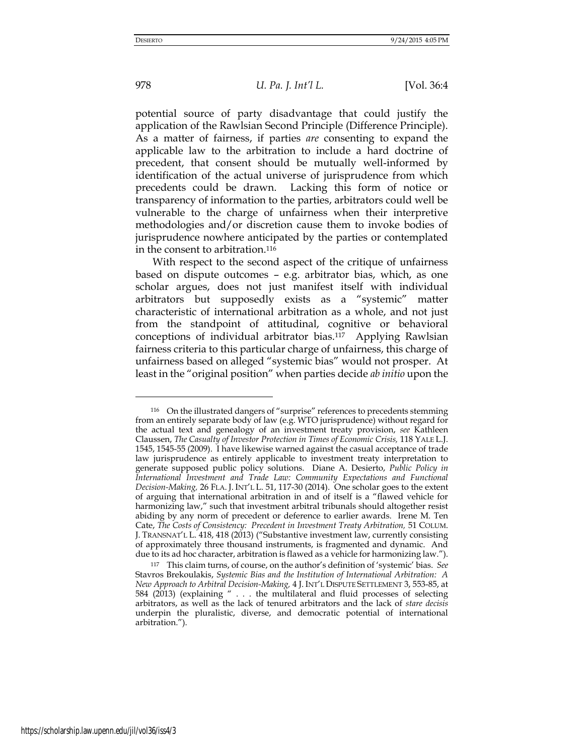-

978 *U. Pa. J. Int'l L.* [Vol. 36:4

potential source of party disadvantage that could justify the application of the Rawlsian Second Principle (Difference Principle). As a matter of fairness, if parties *are* consenting to expand the applicable law to the arbitration to include a hard doctrine of precedent, that consent should be mutually well-informed by identification of the actual universe of jurisprudence from which precedents could be drawn. Lacking this form of notice or transparency of information to the parties, arbitrators could well be vulnerable to the charge of unfairness when their interpretive methodologies and/or discretion cause them to invoke bodies of jurisprudence nowhere anticipated by the parties or contemplated in the consent to arbitration.<sup>116</sup>

With respect to the second aspect of the critique of unfairness based on dispute outcomes – e.g. arbitrator bias, which, as one scholar argues, does not just manifest itself with individual arbitrators but supposedly exists as a "systemic" matter characteristic of international arbitration as a whole, and not just from the standpoint of attitudinal, cognitive or behavioral conceptions of individual arbitrator bias.117 Applying Rawlsian fairness criteria to this particular charge of unfairness, this charge of unfairness based on alleged "systemic bias" would not prosper. At least in the "original position" when parties decide *ab initio* upon the

<sup>116</sup> On the illustrated dangers of "surprise" references to precedents stemming from an entirely separate body of law (e.g. WTO jurisprudence) without regard for the actual text and genealogy of an investment treaty provision, *see* Kathleen Claussen, *The Casualty of Investor Protection in Times of Economic Crisis,* 118 YALE L.J. 1545, 1545-55 (2009). I have likewise warned against the casual acceptance of trade law jurisprudence as entirely applicable to investment treaty interpretation to generate supposed public policy solutions. Diane A. Desierto, *Public Policy in International Investment and Trade Law: Community Expectations and Functional Decision-Making,* 26 FLA. J. INT'L L. 51, 117-30 (2014). One scholar goes to the extent of arguing that international arbitration in and of itself is a "flawed vehicle for harmonizing law," such that investment arbitral tribunals should altogether resist abiding by any norm of precedent or deference to earlier awards. Irene M. Ten Cate, *The Costs of Consistency: Precedent in Investment Treaty Arbitration,* 51 COLUM. J. TRANSNAT'L L. 418, 418 (2013) ("Substantive investment law, currently consisting of approximately three thousand instruments, is fragmented and dynamic. And due to its ad hoc character, arbitration is flawed as a vehicle for harmonizing law.").

<sup>117</sup> This claim turns, of course, on the author's definition of 'systemic' bias. *See*  Stavros Brekoulakis, *Systemic Bias and the Institution of International Arbitration: A New Approach to Arbitral Decision-Making,* 4 J. INT'L DISPUTE SETTLEMENT 3, 553-85, at 584 (2013) (explaining " . . . the multilateral and fluid processes of selecting arbitrators, as well as the lack of tenured arbitrators and the lack of *stare decisis*  underpin the pluralistic, diverse, and democratic potential of international arbitration.").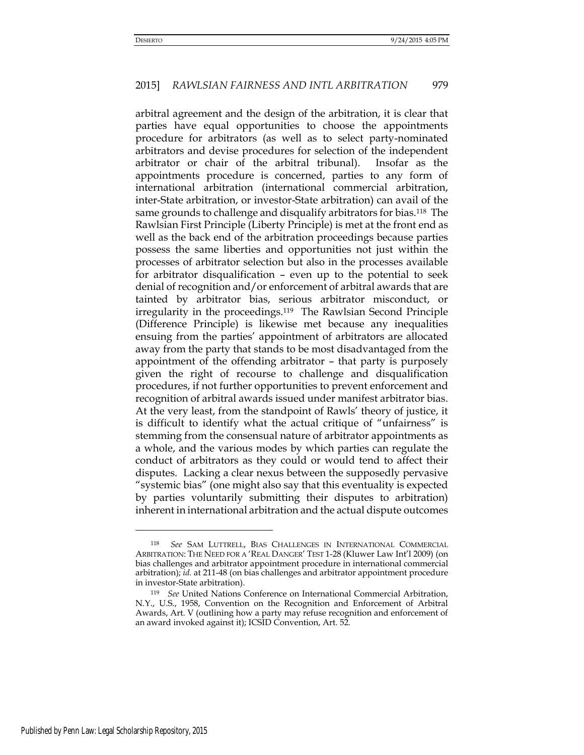arbitral agreement and the design of the arbitration, it is clear that parties have equal opportunities to choose the appointments procedure for arbitrators (as well as to select party-nominated arbitrators and devise procedures for selection of the independent arbitrator or chair of the arbitral tribunal). Insofar as the appointments procedure is concerned, parties to any form of international arbitration (international commercial arbitration, inter-State arbitration, or investor-State arbitration) can avail of the same grounds to challenge and disqualify arbitrators for bias.<sup>118</sup> The Rawlsian First Principle (Liberty Principle) is met at the front end as well as the back end of the arbitration proceedings because parties possess the same liberties and opportunities not just within the processes of arbitrator selection but also in the processes available for arbitrator disqualification – even up to the potential to seek denial of recognition and/or enforcement of arbitral awards that are tainted by arbitrator bias, serious arbitrator misconduct, or irregularity in the proceedings.119 The Rawlsian Second Principle (Difference Principle) is likewise met because any inequalities ensuing from the parties' appointment of arbitrators are allocated away from the party that stands to be most disadvantaged from the appointment of the offending arbitrator – that party is purposely given the right of recourse to challenge and disqualification procedures, if not further opportunities to prevent enforcement and recognition of arbitral awards issued under manifest arbitrator bias. At the very least, from the standpoint of Rawls' theory of justice, it is difficult to identify what the actual critique of "unfairness" is stemming from the consensual nature of arbitrator appointments as a whole, and the various modes by which parties can regulate the conduct of arbitrators as they could or would tend to affect their disputes. Lacking a clear nexus between the supposedly pervasive "systemic bias" (one might also say that this eventuality is expected by parties voluntarily submitting their disputes to arbitration) inherent in international arbitration and the actual dispute outcomes

<sup>118</sup> *See* SAM LUTTRELL, BIAS CHALLENGES IN INTERNATIONAL COMMERCIAL ARBITRATION: THE NEED FOR A 'REAL DANGER' TEST 1-28 (Kluwer Law Int'l 2009) (on bias challenges and arbitrator appointment procedure in international commercial arbitration); *id.* at 211-48 (on bias challenges and arbitrator appointment procedure in investor-State arbitration).

<sup>119</sup> *See* United Nations Conference on International Commercial Arbitration, N.Y., U.S., 1958, Convention on the Recognition and Enforcement of Arbitral Awards, Art. V (outlining how a party may refuse recognition and enforcement of an award invoked against it); ICSID Convention, Art. 52.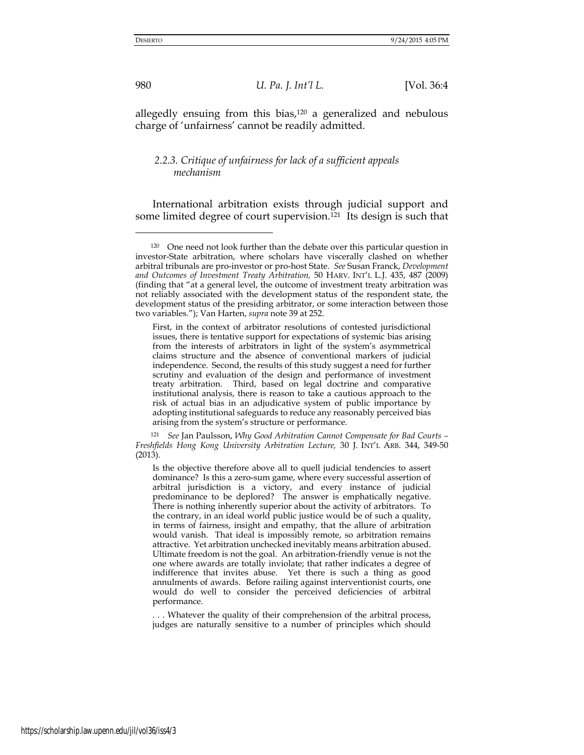allegedly ensuing from this bias,<sup>120</sup> a generalized and nebulous charge of 'unfairness' cannot be readily admitted.

# *2.2.3. Critique of unfairness for lack of a sufficient appeals mechanism*

International arbitration exists through judicial support and some limited degree of court supervision.121 Its design is such that

First, in the context of arbitrator resolutions of contested jurisdictional issues, there is tentative support for expectations of systemic bias arising from the interests of arbitrators in light of the system's asymmetrical claims structure and the absence of conventional markers of judicial independence. Second, the results of this study suggest a need for further scrutiny and evaluation of the design and performance of investment treaty arbitration. Third, based on legal doctrine and comparative institutional analysis, there is reason to take a cautious approach to the risk of actual bias in an adjudicative system of public importance by adopting institutional safeguards to reduce any reasonably perceived bias arising from the system's structure or performance.

<sup>121</sup> *See* Jan Paulsson, *Why Good Arbitration Cannot Compensate for Bad Courts – Freshfields Hong Kong University Arbitration Lecture,* 30 J. INT'L ARB. 344, 349-50 (2013).

Is the objective therefore above all to quell judicial tendencies to assert dominance? Is this a zero-sum game, where every successful assertion of arbitral jurisdiction is a victory, and every instance of judicial predominance to be deplored? The answer is emphatically negative. There is nothing inherently superior about the activity of arbitrators. To the contrary, in an ideal world public justice would be of such a quality, in terms of fairness, insight and empathy, that the allure of arbitration would vanish. That ideal is impossibly remote, so arbitration remains attractive. Yet arbitration unchecked inevitably means arbitration abused. Ultimate freedom is not the goal. An arbitration-friendly venue is not the one where awards are totally inviolate; that rather indicates a degree of indifference that invites abuse. Yet there is such a thing as good annulments of awards. Before railing against interventionist courts, one would do well to consider the perceived deficiencies of arbitral performance.

.. Whatever the quality of their comprehension of the arbitral process, judges are naturally sensitive to a number of principles which should

<sup>&</sup>lt;sup>120</sup> One need not look further than the debate over this particular question in investor-State arbitration, where scholars have viscerally clashed on whether arbitral tribunals are pro-investor or pro-host State. *See* Susan Franck, *Development and Outcomes of Investment Treaty Arbitration,* 50 HARV. INT'L L.J. 435, 487 (2009) (finding that "at a general level, the outcome of investment treaty arbitration was not reliably associated with the development status of the respondent state, the development status of the presiding arbitrator, or some interaction between those two variables."); Van Harten, *supra* note 39 at 252.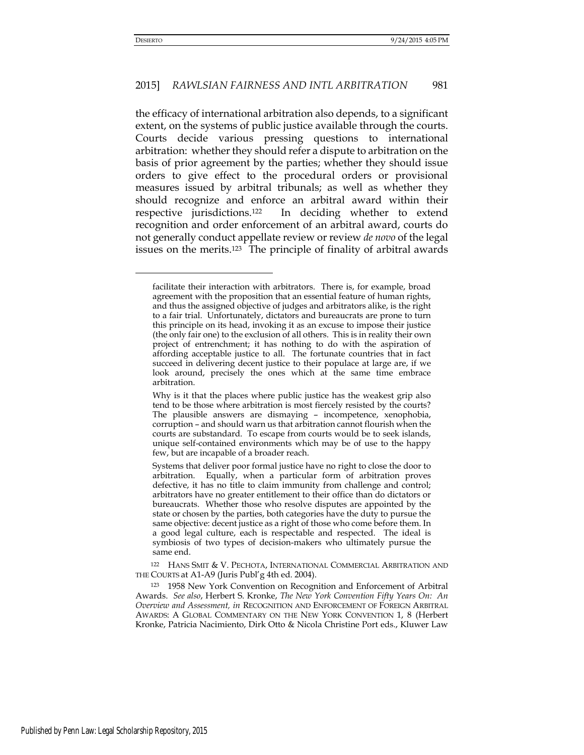### 2015] *RAWLSIAN FAIRNESS AND INTL ARBITRATION* 981

the efficacy of international arbitration also depends, to a significant extent, on the systems of public justice available through the courts. Courts decide various pressing questions to international arbitration: whether they should refer a dispute to arbitration on the basis of prior agreement by the parties; whether they should issue orders to give effect to the procedural orders or provisional measures issued by arbitral tribunals; as well as whether they should recognize and enforce an arbitral award within their respective jurisdictions.122 In deciding whether to extend recognition and order enforcement of an arbitral award, courts do not generally conduct appellate review or review *de novo* of the legal issues on the merits.123 The principle of finality of arbitral awards

facilitate their interaction with arbitrators. There is, for example, broad agreement with the proposition that an essential feature of human rights, and thus the assigned objective of judges and arbitrators alike, is the right to a fair trial. Unfortunately, dictators and bureaucrats are prone to turn this principle on its head, invoking it as an excuse to impose their justice (the only fair one) to the exclusion of all others. This is in reality their own project of entrenchment; it has nothing to do with the aspiration of affording acceptable justice to all. The fortunate countries that in fact succeed in delivering decent justice to their populace at large are, if we look around, precisely the ones which at the same time embrace arbitration.

Why is it that the places where public justice has the weakest grip also tend to be those where arbitration is most fiercely resisted by the courts? The plausible answers are dismaying – incompetence, xenophobia, corruption – and should warn us that arbitration cannot flourish when the courts are substandard. To escape from courts would be to seek islands, unique self-contained environments which may be of use to the happy few, but are incapable of a broader reach.

Systems that deliver poor formal justice have no right to close the door to arbitration. Equally, when a particular form of arbitration proves defective, it has no title to claim immunity from challenge and control; arbitrators have no greater entitlement to their office than do dictators or bureaucrats. Whether those who resolve disputes are appointed by the state or chosen by the parties, both categories have the duty to pursue the same objective: decent justice as a right of those who come before them. In a good legal culture, each is respectable and respected. The ideal is symbiosis of two types of decision-makers who ultimately pursue the same end.

<sup>122</sup> HANS SMIT & V. PECHOTA, INTERNATIONAL COMMERCIAL ARBITRATION AND THE COURTS at A1-A9 (Juris Publ'g 4th ed. 2004).

<sup>123</sup> 1958 New York Convention on Recognition and Enforcement of Arbitral Awards. *See also*, Herbert S. Kronke, *The New York Convention Fifty Years On: An Overview and Assessment, in* RECOGNITION AND ENFORCEMENT OF FOREIGN ARBITRAL AWARDS: A GLOBAL COMMENTARY ON THE NEW YORK CONVENTION 1, 8 (Herbert Kronke, Patricia Nacimiento, Dirk Otto & Nicola Christine Port eds., Kluwer Law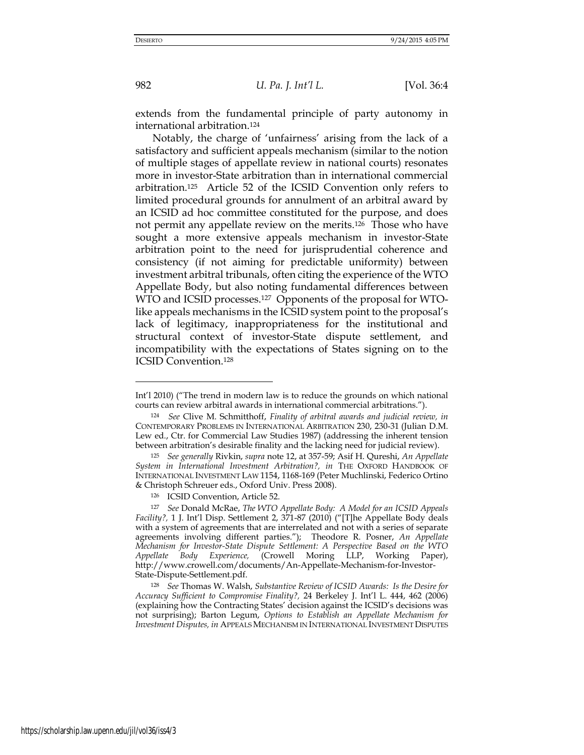extends from the fundamental principle of party autonomy in international arbitration.<sup>124</sup>

Notably, the charge of 'unfairness' arising from the lack of a satisfactory and sufficient appeals mechanism (similar to the notion of multiple stages of appellate review in national courts) resonates more in investor-State arbitration than in international commercial arbitration.125 Article 52 of the ICSID Convention only refers to limited procedural grounds for annulment of an arbitral award by an ICSID ad hoc committee constituted for the purpose, and does not permit any appellate review on the merits.126 Those who have sought a more extensive appeals mechanism in investor-State arbitration point to the need for jurisprudential coherence and consistency (if not aiming for predictable uniformity) between investment arbitral tribunals, often citing the experience of the WTO Appellate Body, but also noting fundamental differences between WTO and ICSID processes.<sup>127</sup> Opponents of the proposal for WTOlike appeals mechanisms in the ICSID system point to the proposal's lack of legitimacy, inappropriateness for the institutional and structural context of investor-State dispute settlement, and incompatibility with the expectations of States signing on to the ICSID Convention.<sup>128</sup>

Int'l 2010) ("The trend in modern law is to reduce the grounds on which national courts can review arbitral awards in international commercial arbitrations.").

<sup>124</sup> *See* Clive M. Schmitthoff, *Finality of arbitral awards and judicial review, in*  CONTEMPORARY PROBLEMS IN INTERNATIONAL ARBITRATION 230, 230-31 (Julian D.M. Lew ed., Ctr. for Commercial Law Studies 1987) (addressing the inherent tension between arbitration's desirable finality and the lacking need for judicial review).

<sup>125</sup> *See generally* Rivkin, *supra* note 12, at 357-59; Asif H. Qureshi, *An Appellate*  System in International Investment Arbitration?, in THE OXFORD HANDBOOK OF INTERNATIONAL INVESTMENT LAW 1154, 1168-169 (Peter Muchlinski, Federico Ortino & Christoph Schreuer eds., Oxford Univ. Press 2008).

<sup>126</sup> ICSID Convention, Article 52.

<sup>127</sup> *See* Donald McRae, *The WTO Appellate Body: A Model for an ICSID Appeals Facility?,* 1 J. Int'l Disp. Settlement 2, 371-87 (2010) ("[T]he Appellate Body deals with a system of agreements that are interrelated and not with a series of separate agreements involving different parties."); Theodore R. Posner, *An Appellate Mechanism for Investor-State Dispute Settlement: A Perspective Based on the WTO Appellate Body Experience,* (Crowell Moring LLP, Working Paper), http://www.crowell.com/documents/An-Appellate-Mechanism-for-Investor-State-Dispute-Settlement.pdf.

<sup>128</sup> *See* Thomas W. Walsh, *Substantive Review of ICSID Awards: Is the Desire for Accuracy Sufficient to Compromise Finality?,* 24 Berkeley J. Int'l L. 444, 462 (2006) (explaining how the Contracting States' decision against the ICSID's decisions was not surprising); Barton Legum, *Options to Establish an Appellate Mechanism for Investment Disputes, in* APPEALS MECHANISM IN INTERNATIONAL INVESTMENT DISPUTES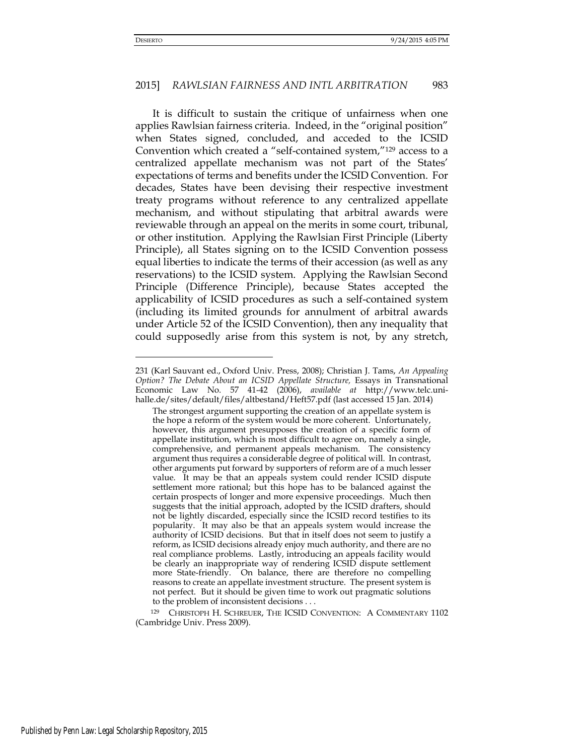-

### 2015] *RAWLSIAN FAIRNESS AND INTL ARBITRATION* 983

It is difficult to sustain the critique of unfairness when one applies Rawlsian fairness criteria. Indeed, in the "original position" when States signed, concluded, and acceded to the ICSID Convention which created a "self-contained system,"129 access to a centralized appellate mechanism was not part of the States' expectations of terms and benefits under the ICSID Convention. For decades, States have been devising their respective investment treaty programs without reference to any centralized appellate mechanism, and without stipulating that arbitral awards were reviewable through an appeal on the merits in some court, tribunal, or other institution. Applying the Rawlsian First Principle (Liberty Principle), all States signing on to the ICSID Convention possess equal liberties to indicate the terms of their accession (as well as any reservations) to the ICSID system. Applying the Rawlsian Second Principle (Difference Principle), because States accepted the applicability of ICSID procedures as such a self-contained system (including its limited grounds for annulment of arbitral awards under Article 52 of the ICSID Convention), then any inequality that could supposedly arise from this system is not, by any stretch,

<sup>129</sup> CHRISTOPH H. SCHREUER, THE ICSID CONVENTION: A COMMENTARY 1102 (Cambridge Univ. Press 2009).

<sup>231 (</sup>Karl Sauvant ed., Oxford Univ. Press, 2008); Christian J. Tams, *An Appealing Option? The Debate About an ICSID Appellate Structure, Essays in Transnational* Economic Law No. 57 41-42 (2006), *available at* http://www.telc.unihalle.de/sites/default/files/altbestand/Heft57.pdf (last accessed 15 Jan. 2014)

The strongest argument supporting the creation of an appellate system is the hope a reform of the system would be more coherent. Unfortunately, however, this argument presupposes the creation of a specific form of appellate institution, which is most difficult to agree on, namely a single, comprehensive, and permanent appeals mechanism. The consistency argument thus requires a considerable degree of political will. In contrast, other arguments put forward by supporters of reform are of a much lesser value. It may be that an appeals system could render ICSID dispute settlement more rational; but this hope has to be balanced against the certain prospects of longer and more expensive proceedings. Much then suggests that the initial approach, adopted by the ICSID drafters, should not be lightly discarded, especially since the ICSID record testifies to its popularity. It may also be that an appeals system would increase the authority of ICSID decisions. But that in itself does not seem to justify a reform, as ICSID decisions already enjoy much authority, and there are no real compliance problems. Lastly, introducing an appeals facility would be clearly an inappropriate way of rendering ICSID dispute settlement more State-friendly. On balance, there are therefore no compelling reasons to create an appellate investment structure. The present system is not perfect. But it should be given time to work out pragmatic solutions to the problem of inconsistent decisions . . .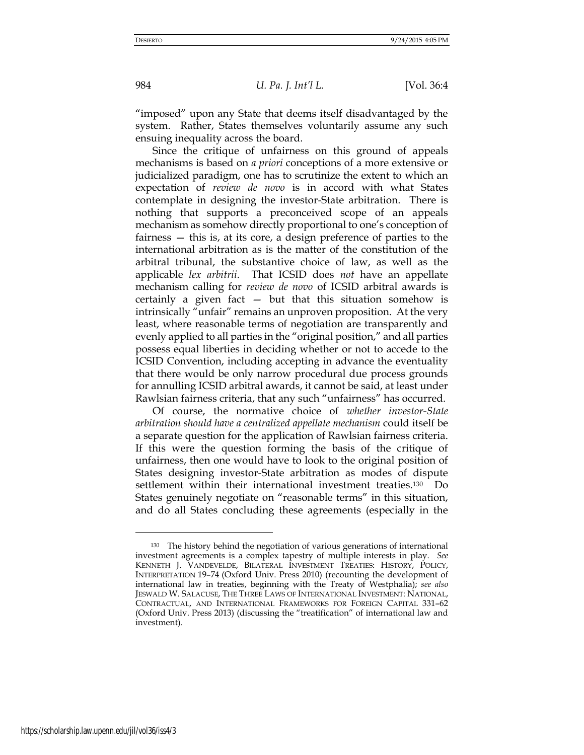"imposed" upon any State that deems itself disadvantaged by the system. Rather, States themselves voluntarily assume any such ensuing inequality across the board.

Since the critique of unfairness on this ground of appeals mechanisms is based on *a priori* conceptions of a more extensive or judicialized paradigm, one has to scrutinize the extent to which an expectation of *review de novo* is in accord with what States contemplate in designing the investor-State arbitration. There is nothing that supports a preconceived scope of an appeals mechanism as somehow directly proportional to one's conception of fairness — this is, at its core, a design preference of parties to the international arbitration as is the matter of the constitution of the arbitral tribunal, the substantive choice of law, as well as the applicable *lex arbitrii*. That ICSID does *not* have an appellate mechanism calling for *review de novo* of ICSID arbitral awards is certainly a given fact  $-$  but that this situation somehow is intrinsically "unfair" remains an unproven proposition. At the very least, where reasonable terms of negotiation are transparently and evenly applied to all parties in the "original position," and all parties possess equal liberties in deciding whether or not to accede to the ICSID Convention, including accepting in advance the eventuality that there would be only narrow procedural due process grounds for annulling ICSID arbitral awards, it cannot be said, at least under Rawlsian fairness criteria, that any such "unfairness" has occurred.

Of course, the normative choice of *whether investor-State arbitration should have a centralized appellate mechanism* could itself be a separate question for the application of Rawlsian fairness criteria. If this were the question forming the basis of the critique of unfairness, then one would have to look to the original position of States designing investor-State arbitration as modes of dispute settlement within their international investment treaties.130 Do States genuinely negotiate on "reasonable terms" in this situation, and do all States concluding these agreements (especially in the

<sup>130</sup> The history behind the negotiation of various generations of international investment agreements is a complex tapestry of multiple interests in play. *See*  KENNETH J. VANDEVELDE, BILATERAL INVESTMENT TREATIES: HISTORY, POLICY, INTERPRETATION 19–74 (Oxford Univ. Press 2010) (recounting the development of international law in treaties, beginning with the Treaty of Westphalia); *see also*  JESWALD W. SALACUSE, THE THREE LAWS OF INTERNATIONAL INVESTMENT: NATIONAL, CONTRACTUAL, AND INTERNATIONAL FRAMEWORKS FOR FOREIGN CAPITAL 331–62 (Oxford Univ. Press 2013) (discussing the "treatification" of international law and investment).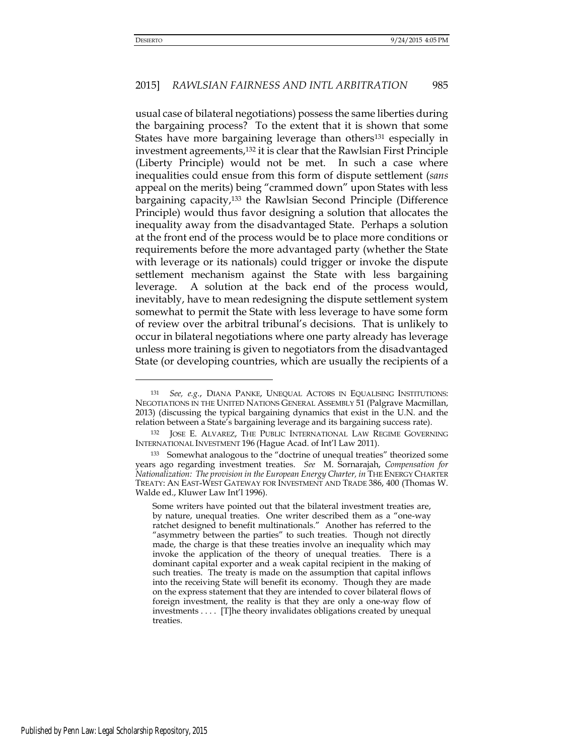-

## 2015] *RAWLSIAN FAIRNESS AND INTL ARBITRATION* 985

usual case of bilateral negotiations) possess the same liberties during the bargaining process? To the extent that it is shown that some States have more bargaining leverage than others<sup>131</sup> especially in investment agreements,132 it is clear that the Rawlsian First Principle (Liberty Principle) would not be met. In such a case where inequalities could ensue from this form of dispute settlement (*sans*  appeal on the merits) being "crammed down" upon States with less bargaining capacity,133 the Rawlsian Second Principle (Difference Principle) would thus favor designing a solution that allocates the inequality away from the disadvantaged State. Perhaps a solution at the front end of the process would be to place more conditions or requirements before the more advantaged party (whether the State with leverage or its nationals) could trigger or invoke the dispute settlement mechanism against the State with less bargaining leverage. A solution at the back end of the process would, inevitably, have to mean redesigning the dispute settlement system somewhat to permit the State with less leverage to have some form of review over the arbitral tribunal's decisions. That is unlikely to occur in bilateral negotiations where one party already has leverage unless more training is given to negotiators from the disadvantaged State (or developing countries, which are usually the recipients of a

<sup>131</sup> *See, e.g.*, DIANA PANKE, UNEQUAL ACTORS IN EQUALISING INSTITUTIONS: NEGOTIATIONS IN THE UNITED NATIONS GENERAL ASSEMBLY 51 (Palgrave Macmillan, 2013) (discussing the typical bargaining dynamics that exist in the U.N. and the relation between a State's bargaining leverage and its bargaining success rate).

<sup>132</sup> JOSE E. ALVAREZ, THE PUBLIC INTERNATIONAL LAW REGIME GOVERNING INTERNATIONAL INVESTMENT 196 (Hague Acad. of Int'l Law 2011).

<sup>133</sup> Somewhat analogous to the "doctrine of unequal treaties" theorized some years ago regarding investment treaties. *See* M. Sornarajah, *Compensation for Nationalization: The provision in the European Energy Charter, in* THE ENERGY CHARTER TREATY: AN EAST-WEST GATEWAY FOR INVESTMENT AND TRADE 386, 400 (Thomas W. Walde ed., Kluwer Law Int'l 1996).

Some writers have pointed out that the bilateral investment treaties are, by nature, unequal treaties. One writer described them as a "one-way ratchet designed to benefit multinationals." Another has referred to the "asymmetry between the parties" to such treaties. Though not directly made, the charge is that these treaties involve an inequality which may invoke the application of the theory of unequal treaties. There is a dominant capital exporter and a weak capital recipient in the making of such treaties. The treaty is made on the assumption that capital inflows into the receiving State will benefit its economy. Though they are made on the express statement that they are intended to cover bilateral flows of foreign investment, the reality is that they are only a one-way flow of investments . . . . [T]he theory invalidates obligations created by unequal treaties.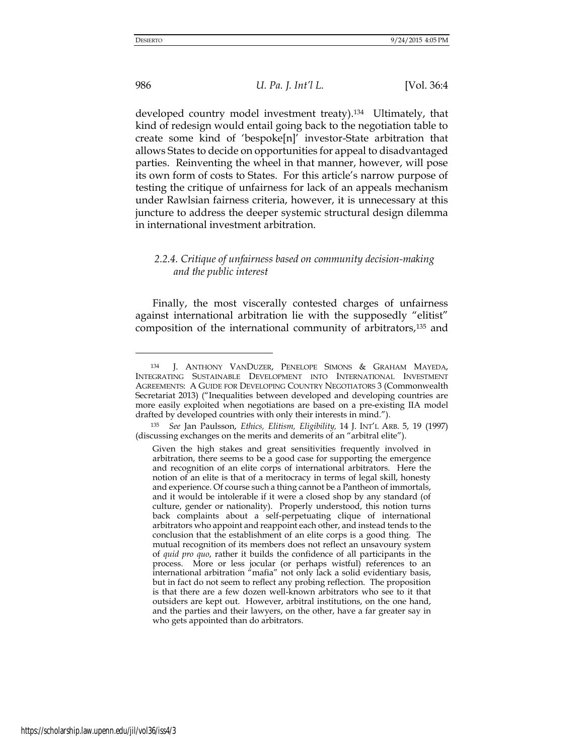986 *U. Pa. J. Int'l L.* [Vol. 36:4

developed country model investment treaty).134 Ultimately, that kind of redesign would entail going back to the negotiation table to create some kind of 'bespoke[n]' investor-State arbitration that allows States to decide on opportunities for appeal to disadvantaged parties. Reinventing the wheel in that manner, however, will pose its own form of costs to States. For this article's narrow purpose of testing the critique of unfairness for lack of an appeals mechanism under Rawlsian fairness criteria, however, it is unnecessary at this juncture to address the deeper systemic structural design dilemma in international investment arbitration.

# *2.2.4. Critique of unfairness based on community decision-making and the public interest*

Finally, the most viscerally contested charges of unfairness against international arbitration lie with the supposedly "elitist" composition of the international community of arbitrators,135 and

<sup>134</sup> J. ANTHONY VANDUZER, PENELOPE SIMONS & GRAHAM MAYEDA, INTEGRATING SUSTAINABLE DEVELOPMENT INTO INTERNATIONAL INVESTMENT AGREEMENTS: A GUIDE FOR DEVELOPING COUNTRY NEGOTIATORS 3 (Commonwealth Secretariat 2013) ("Inequalities between developed and developing countries are more easily exploited when negotiations are based on a pre-existing IIA model drafted by developed countries with only their interests in mind.").

<sup>135</sup> *See* Jan Paulsson, *Ethics, Elitism, Eligibility,* 14 J. INT'L ARB. 5, 19 (1997) (discussing exchanges on the merits and demerits of an "arbitral elite").

Given the high stakes and great sensitivities frequently involved in arbitration, there seems to be a good case for supporting the emergence and recognition of an elite corps of international arbitrators. Here the notion of an elite is that of a meritocracy in terms of legal skill, honesty and experience. Of course such a thing cannot be a Pantheon of immortals, and it would be intolerable if it were a closed shop by any standard (of culture, gender or nationality). Properly understood, this notion turns back complaints about a self-perpetuating clique of international arbitrators who appoint and reappoint each other, and instead tends to the conclusion that the establishment of an elite corps is a good thing. The mutual recognition of its members does not reflect an unsavoury system of *quid pro quo*, rather it builds the confidence of all participants in the process. More or less jocular (or perhaps wistful) references to an international arbitration "mafia" not only lack a solid evidentiary basis, but in fact do not seem to reflect any probing reflection. The proposition is that there are a few dozen well-known arbitrators who see to it that outsiders are kept out. However, arbitral institutions, on the one hand, and the parties and their lawyers, on the other, have a far greater say in who gets appointed than do arbitrators.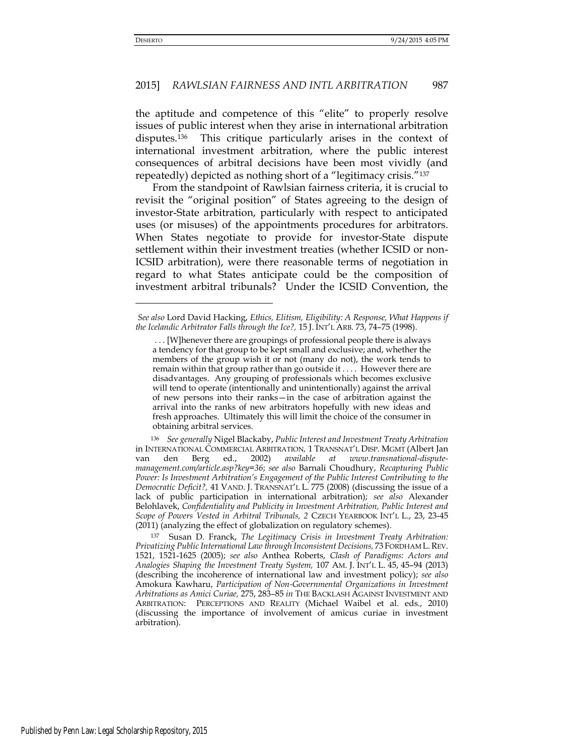# 2015] *RAWLSIAN FAIRNESS AND INTL ARBITRATION* 987

the aptitude and competence of this "elite" to properly resolve issues of public interest when they arise in international arbitration disputes.136 This critique particularly arises in the context of international investment arbitration, where the public interest consequences of arbitral decisions have been most vividly (and repeatedly) depicted as nothing short of a "legitimacy crisis."<sup>137</sup>

From the standpoint of Rawlsian fairness criteria, it is crucial to revisit the "original position" of States agreeing to the design of investor-State arbitration, particularly with respect to anticipated uses (or misuses) of the appointments procedures for arbitrators. When States negotiate to provide for investor-State dispute settlement within their investment treaties (whether ICSID or non-ICSID arbitration), were there reasonable terms of negotiation in regard to what States anticipate could be the composition of investment arbitral tribunals? Under the ICSID Convention, the

<sup>136</sup> *See generally* Nigel Blackaby, *Public Interest and Investment Treaty Arbitration*  in INTERNATIONAL COMMERCIAL ARBITRATION*,* 1 TRANSNAT'L DISP. MGMT (Albert Jan van den Berg ed., 2002) *available at www.transnational-disputemanagement.com/article.asp?key=36*; *see also* Barnali Choudhury, *Recapturing Public Power: Is Investment Arbitration's Engagement of the Public Interest Contributing to the Democratic Deficit?,* 41 VAND. J. TRANSNAT'L L. 775 (2008) (discussing the issue of a lack of public participation in international arbitration); *see also* Alexander Belohlavek, *Confidentiality and Publicity in Investment Arbitration, Public Interest and Scope of Powers Vested in Arbitral Tribunals, 2* CZECH YEARBOOK INT'L L., 23, 23-45 (2011) (analyzing the effect of globalization on regulatory schemes).

<sup>137</sup> Susan D. Franck, *The Legitimacy Crisis in Investment Treaty Arbitration: Privatizing Public International Law through Inconsistent Decisions,* 73 FORDHAM L.REV. 1521, 1521-1625 (2005); *see also* Anthea Roberts, *Clash of Paradigms: Actors and Analogies Shaping the Investment Treaty System,* 107 AM. J. INT'L L. 45, 45–94 (2013) (describing the incoherence of international law and investment policy); *see also*  Amokura Kawharu, *Participation of Non-Governmental Organizations in Investment Arbitrations as Amici Curiae,* 275, 283–85 *in* THE BACKLASH AGAINST INVESTMENT AND ARBITRATION: PERCEPTIONS AND REALITY (Michael Waibel et al. eds., 2010) (discussing the importance of involvement of amicus curiae in investment arbitration).

*See also* Lord David Hacking, *Ethics, Elitism, Eligibility: A Response, What Happens if the Icelandic Arbitrator Falls through the Ice?,* 15 J. INT'L ARB. 73, 74–75 (1998).

 <sup>. . . [</sup>W]henever there are groupings of professional people there is always a tendency for that group to be kept small and exclusive; and, whether the members of the group wish it or not (many do not), the work tends to remain within that group rather than go outside it . . . . However there are disadvantages. Any grouping of professionals which becomes exclusive will tend to operate (intentionally and unintentionally) against the arrival of new persons into their ranks—in the case of arbitration against the arrival into the ranks of new arbitrators hopefully with new ideas and fresh approaches. Ultimately this will limit the choice of the consumer in obtaining arbitral services.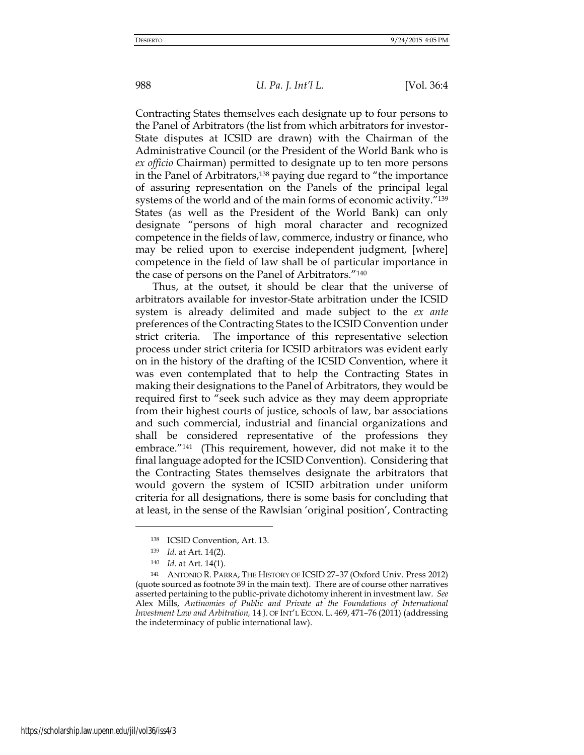Contracting States themselves each designate up to four persons to the Panel of Arbitrators (the list from which arbitrators for investor-State disputes at ICSID are drawn) with the Chairman of the Administrative Council (or the President of the World Bank who is *ex officio* Chairman) permitted to designate up to ten more persons in the Panel of Arbitrators,<sup>138</sup> paying due regard to "the importance of assuring representation on the Panels of the principal legal systems of the world and of the main forms of economic activity."<sup>139</sup> States (as well as the President of the World Bank) can only designate "persons of high moral character and recognized competence in the fields of law, commerce, industry or finance, who may be relied upon to exercise independent judgment, [where] competence in the field of law shall be of particular importance in the case of persons on the Panel of Arbitrators."<sup>140</sup>

Thus, at the outset, it should be clear that the universe of arbitrators available for investor-State arbitration under the ICSID system is already delimited and made subject to the *ex ante*  preferences of the Contracting States to the ICSID Convention under strict criteria. The importance of this representative selection process under strict criteria for ICSID arbitrators was evident early on in the history of the drafting of the ICSID Convention, where it was even contemplated that to help the Contracting States in making their designations to the Panel of Arbitrators, they would be required first to "seek such advice as they may deem appropriate from their highest courts of justice, schools of law, bar associations and such commercial, industrial and financial organizations and shall be considered representative of the professions they embrace."141 (This requirement, however, did not make it to the final language adopted for the ICSID Convention). Considering that the Contracting States themselves designate the arbitrators that would govern the system of ICSID arbitration under uniform criteria for all designations, there is some basis for concluding that at least, in the sense of the Rawlsian 'original position', Contracting

<sup>138</sup> ICSID Convention, Art. 13.

<sup>139</sup> *Id*. at Art. 14(2).

<sup>140</sup> *Id*. at Art. 14(1).

<sup>141</sup> ANTONIO R. PARRA, THE HISTORY OF ICSID 27–37 (Oxford Univ. Press 2012) (quote sourced as footnote 39 in the main text). There are of course other narratives asserted pertaining to the public-private dichotomy inherent in investment law. *See*  Alex Mills, *Antinomies of Public and Private at the Foundations of International Investment Law and Arbitration,* 14 J. OF INT'L ECON. L. 469, 471–76 (2011) (addressing the indeterminacy of public international law).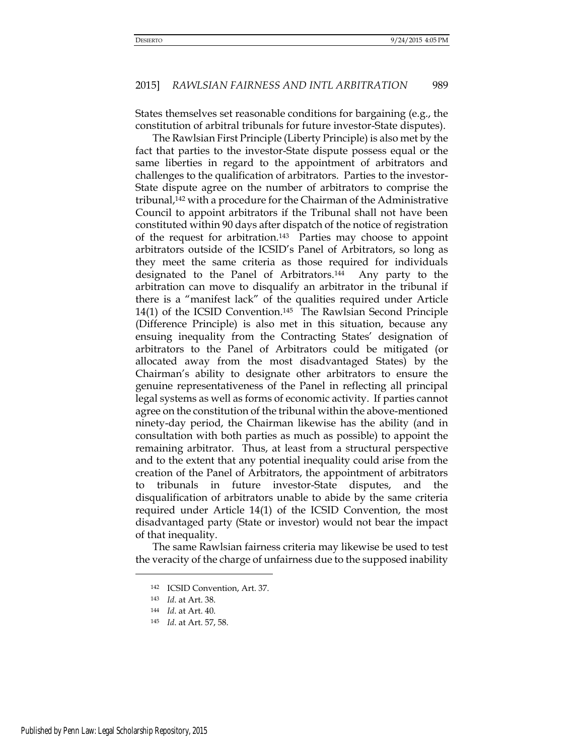States themselves set reasonable conditions for bargaining (e.g., the constitution of arbitral tribunals for future investor-State disputes).

The Rawlsian First Principle (Liberty Principle) is also met by the fact that parties to the investor-State dispute possess equal or the same liberties in regard to the appointment of arbitrators and challenges to the qualification of arbitrators. Parties to the investor-State dispute agree on the number of arbitrators to comprise the tribunal,142 with a procedure for the Chairman of the Administrative Council to appoint arbitrators if the Tribunal shall not have been constituted within 90 days after dispatch of the notice of registration of the request for arbitration.143 Parties may choose to appoint arbitrators outside of the ICSID's Panel of Arbitrators, so long as they meet the same criteria as those required for individuals designated to the Panel of Arbitrators.144 Any party to the arbitration can move to disqualify an arbitrator in the tribunal if there is a "manifest lack" of the qualities required under Article 14(1) of the ICSID Convention.145 The Rawlsian Second Principle (Difference Principle) is also met in this situation, because any ensuing inequality from the Contracting States' designation of arbitrators to the Panel of Arbitrators could be mitigated (or allocated away from the most disadvantaged States) by the Chairman's ability to designate other arbitrators to ensure the genuine representativeness of the Panel in reflecting all principal legal systems as well as forms of economic activity. If parties cannot agree on the constitution of the tribunal within the above-mentioned ninety-day period, the Chairman likewise has the ability (and in consultation with both parties as much as possible) to appoint the remaining arbitrator. Thus, at least from a structural perspective and to the extent that any potential inequality could arise from the creation of the Panel of Arbitrators, the appointment of arbitrators to tribunals in future investor-State disputes, and the disqualification of arbitrators unable to abide by the same criteria required under Article 14(1) of the ICSID Convention, the most disadvantaged party (State or investor) would not bear the impact of that inequality.

The same Rawlsian fairness criteria may likewise be used to test the veracity of the charge of unfairness due to the supposed inability

<sup>142</sup> ICSID Convention, Art. 37.

<sup>143</sup> *Id*. at Art. 38.

<sup>144</sup> *Id*. at Art. 40.

<sup>145</sup> *Id*. at Art. 57, 58.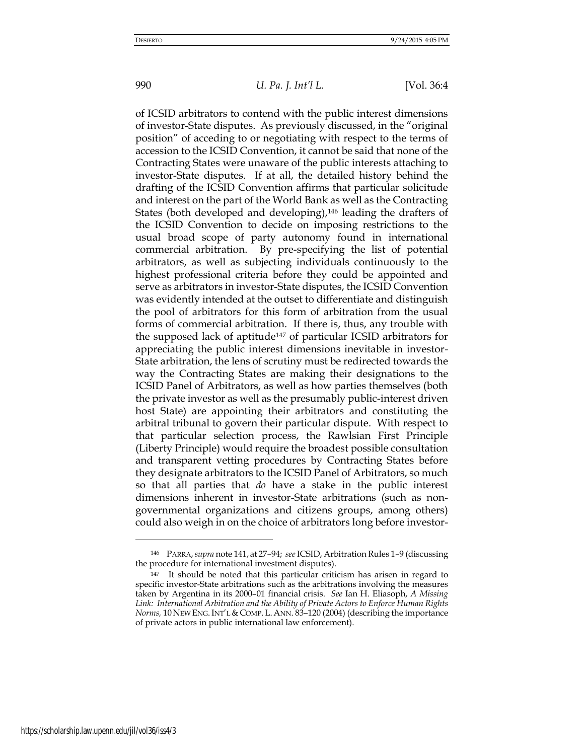of ICSID arbitrators to contend with the public interest dimensions of investor-State disputes. As previously discussed, in the "original position" of acceding to or negotiating with respect to the terms of accession to the ICSID Convention, it cannot be said that none of the Contracting States were unaware of the public interests attaching to investor-State disputes. If at all, the detailed history behind the drafting of the ICSID Convention affirms that particular solicitude and interest on the part of the World Bank as well as the Contracting States (both developed and developing),<sup>146</sup> leading the drafters of the ICSID Convention to decide on imposing restrictions to the usual broad scope of party autonomy found in international commercial arbitration. By pre-specifying the list of potential arbitrators, as well as subjecting individuals continuously to the highest professional criteria before they could be appointed and serve as arbitrators in investor-State disputes, the ICSID Convention was evidently intended at the outset to differentiate and distinguish the pool of arbitrators for this form of arbitration from the usual forms of commercial arbitration. If there is, thus, any trouble with the supposed lack of aptitude147 of particular ICSID arbitrators for appreciating the public interest dimensions inevitable in investor-State arbitration, the lens of scrutiny must be redirected towards the way the Contracting States are making their designations to the ICSID Panel of Arbitrators, as well as how parties themselves (both the private investor as well as the presumably public-interest driven host State) are appointing their arbitrators and constituting the arbitral tribunal to govern their particular dispute. With respect to that particular selection process, the Rawlsian First Principle (Liberty Principle) would require the broadest possible consultation and transparent vetting procedures by Contracting States before they designate arbitrators to the ICSID Panel of Arbitrators, so much so that all parties that *do* have a stake in the public interest dimensions inherent in investor-State arbitrations (such as nongovernmental organizations and citizens groups, among others) could also weigh in on the choice of arbitrators long before investor-

<sup>146</sup> PARRA,*supra* note 141, at 27–94; *see* ICSID, Arbitration Rules 1–9 (discussing the procedure for international investment disputes).

<sup>147</sup> It should be noted that this particular criticism has arisen in regard to specific investor-State arbitrations such as the arbitrations involving the measures taken by Argentina in its 2000–01 financial crisis. *See* Ian H. Eliasoph, *A Missing Link: International Arbitration and the Ability of Private Actors to Enforce Human Rights Norms,* 10 NEW ENG. INT'L & COMP. L. ANN. 83-120 (2004) (describing the importance of private actors in public international law enforcement).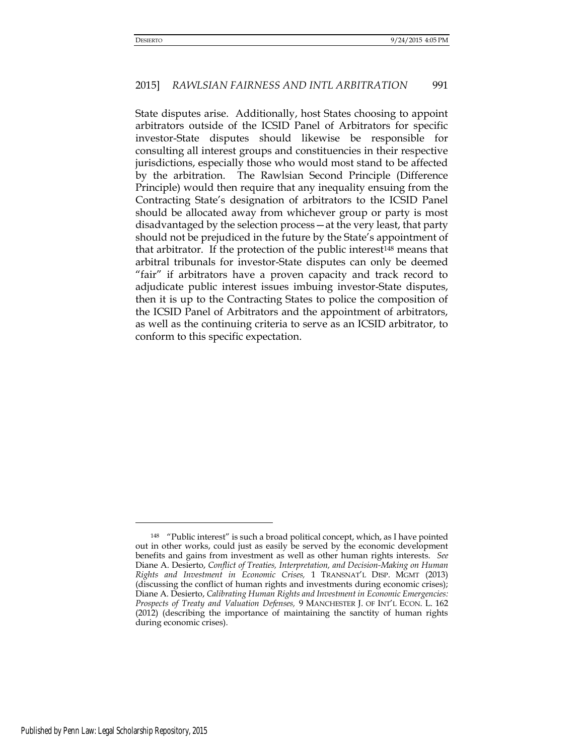State disputes arise. Additionally, host States choosing to appoint arbitrators outside of the ICSID Panel of Arbitrators for specific investor-State disputes should likewise be responsible for consulting all interest groups and constituencies in their respective jurisdictions, especially those who would most stand to be affected by the arbitration. The Rawlsian Second Principle (Difference Principle) would then require that any inequality ensuing from the Contracting State's designation of arbitrators to the ICSID Panel should be allocated away from whichever group or party is most disadvantaged by the selection process—at the very least, that party should not be prejudiced in the future by the State's appointment of that arbitrator. If the protection of the public interest<sup>148</sup> means that arbitral tribunals for investor-State disputes can only be deemed "fair" if arbitrators have a proven capacity and track record to adjudicate public interest issues imbuing investor-State disputes, then it is up to the Contracting States to police the composition of the ICSID Panel of Arbitrators and the appointment of arbitrators, as well as the continuing criteria to serve as an ICSID arbitrator, to conform to this specific expectation.

<sup>148</sup> "Public interest" is such a broad political concept, which, as I have pointed out in other works, could just as easily be served by the economic development benefits and gains from investment as well as other human rights interests. *See*  Diane A. Desierto, *Conflict of Treaties, Interpretation, and Decision-Making on Human Rights and Investment in Economic Crises,* 1 TRANSNAT'L DISP. MGMT (2013) (discussing the conflict of human rights and investments during economic crises); Diane A. Desierto, *Calibrating Human Rights and Investment in Economic Emergencies: Prospects of Treaty and Valuation Defenses,* 9 MANCHESTER J. OF INT'L ECON. L. 162 (2012) (describing the importance of maintaining the sanctity of human rights during economic crises).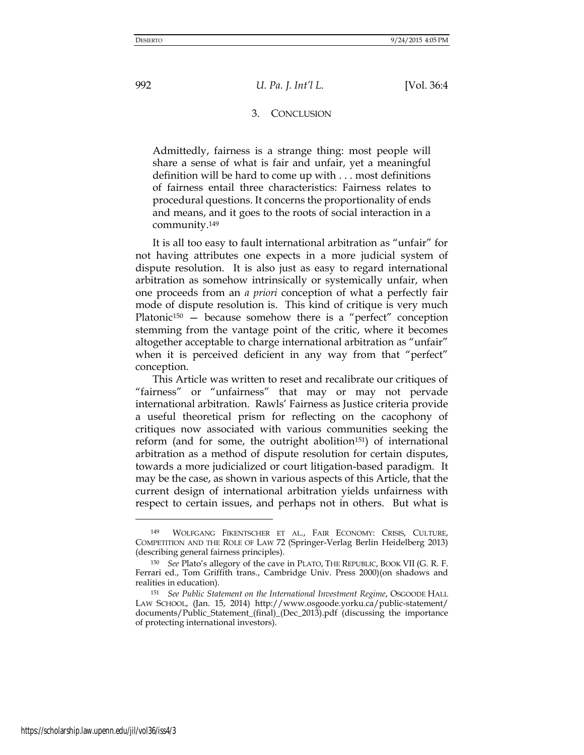### 3. CONCLUSION

Admittedly, fairness is a strange thing: most people will share a sense of what is fair and unfair, yet a meaningful definition will be hard to come up with . . . most definitions of fairness entail three characteristics: Fairness relates to procedural questions. It concerns the proportionality of ends and means, and it goes to the roots of social interaction in a community.<sup>149</sup>

It is all too easy to fault international arbitration as "unfair" for not having attributes one expects in a more judicial system of dispute resolution. It is also just as easy to regard international arbitration as somehow intrinsically or systemically unfair, when one proceeds from an *a priori* conception of what a perfectly fair mode of dispute resolution is. This kind of critique is very much Platonic<sup>150</sup> – because somehow there is a "perfect" conception stemming from the vantage point of the critic, where it becomes altogether acceptable to charge international arbitration as "unfair" when it is perceived deficient in any way from that "perfect" conception.

This Article was written to reset and recalibrate our critiques of "fairness" or "unfairness" that may or may not pervade international arbitration. Rawls' Fairness as Justice criteria provide a useful theoretical prism for reflecting on the cacophony of critiques now associated with various communities seeking the reform (and for some, the outright abolition151) of international arbitration as a method of dispute resolution for certain disputes, towards a more judicialized or court litigation-based paradigm. It may be the case, as shown in various aspects of this Article, that the current design of international arbitration yields unfairness with respect to certain issues, and perhaps not in others. But what is

<sup>149</sup> WOLFGANG FIKENTSCHER ET AL., FAIR ECONOMY: CRISIS, CULTURE, COMPETITION AND THE ROLE OF LAW 72 (Springer-Verlag Berlin Heidelberg 2013) (describing general fairness principles).

<sup>150</sup> *See* Plato's allegory of the cave in PLATO, THE REPUBLIC, BOOK VII (G. R. F. Ferrari ed., Tom Griffith trans., Cambridge Univ. Press 2000)(on shadows and realities in education).

<sup>151</sup> *See Public Statement on the International Investment Regime*, OSGOODE HALL LAW SCHOOL, (Jan. 15, 2014) <http://www.osgoode.yorku.ca/public-statement/> documents/Public\_Statement\_(final)\_(Dec\_2013).pdf (discussing the importance of protecting international investors).